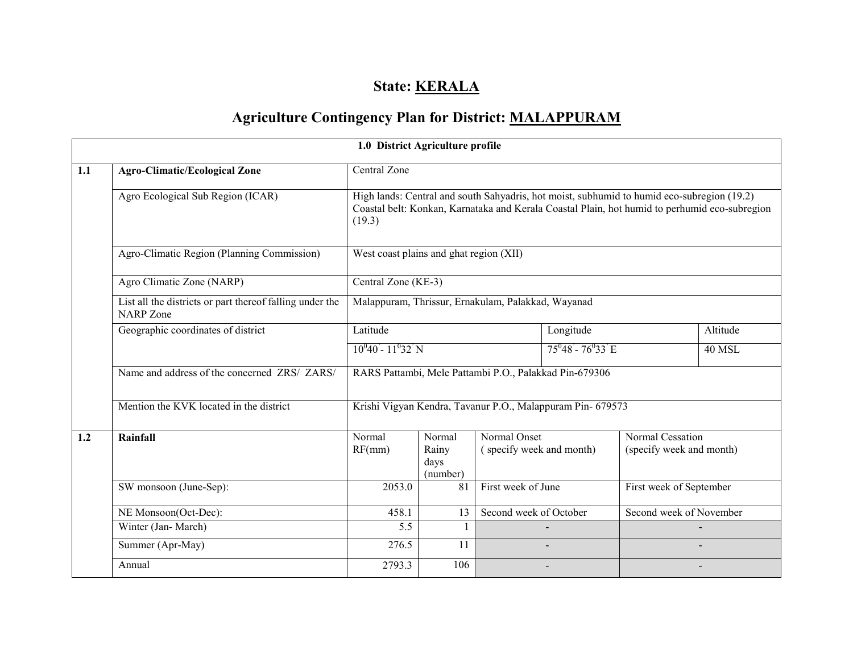## State: **KERALA**

# Agriculture Contingency Plan for District: MALAPPURAM

|     |                                                                              | 1.0 District Agriculture profile                                                                                                                                                                      |                                     |                                          |                                                        |                                              |               |  |
|-----|------------------------------------------------------------------------------|-------------------------------------------------------------------------------------------------------------------------------------------------------------------------------------------------------|-------------------------------------|------------------------------------------|--------------------------------------------------------|----------------------------------------------|---------------|--|
| 1.1 | <b>Agro-Climatic/Ecological Zone</b>                                         | Central Zone                                                                                                                                                                                          |                                     |                                          |                                                        |                                              |               |  |
|     | Agro Ecological Sub Region (ICAR)                                            | High lands: Central and south Sahyadris, hot moist, subhumid to humid eco-subregion (19.2)<br>Coastal belt: Konkan, Karnataka and Kerala Coastal Plain, hot humid to perhumid eco-subregion<br>(19.3) |                                     |                                          |                                                        |                                              |               |  |
|     | Agro-Climatic Region (Planning Commission)                                   | West coast plains and ghat region (XII)                                                                                                                                                               |                                     |                                          |                                                        |                                              |               |  |
|     | Agro Climatic Zone (NARP)                                                    | Central Zone (KE-3)                                                                                                                                                                                   |                                     |                                          |                                                        |                                              |               |  |
|     | List all the districts or part thereof falling under the<br><b>NARP</b> Zone | Malappuram, Thrissur, Ernakulam, Palakkad, Wayanad                                                                                                                                                    |                                     |                                          |                                                        |                                              |               |  |
|     | Geographic coordinates of district                                           | Latitude                                                                                                                                                                                              |                                     |                                          | Longitude                                              |                                              | Altitude      |  |
|     |                                                                              | $10^040 - 11^032$ N                                                                                                                                                                                   |                                     |                                          | $75^{\circ}48 - 76^{\circ}33 \text{ E}$                |                                              | <b>40 MSL</b> |  |
|     | Name and address of the concerned ZRS/ ZARS/                                 |                                                                                                                                                                                                       |                                     |                                          | RARS Pattambi, Mele Pattambi P.O., Palakkad Pin-679306 |                                              |               |  |
|     | Mention the KVK located in the district                                      | Krishi Vigyan Kendra, Tavanur P.O., Malappuram Pin- 679573                                                                                                                                            |                                     |                                          |                                                        |                                              |               |  |
| 1.2 | Rainfall                                                                     | Normal<br>RF(mm)                                                                                                                                                                                      | Normal<br>Rainy<br>days<br>(number) | Normal Onset<br>(specify week and month) |                                                        | Normal Cessation<br>(specify week and month) |               |  |
|     | SW monsoon (June-Sep):                                                       | 2053.0                                                                                                                                                                                                | 81                                  | First week of June                       |                                                        | First week of September                      |               |  |
|     | NE Monsoon(Oct-Dec):                                                         | Second week of October<br>458.1<br>13                                                                                                                                                                 |                                     | Second week of November                  |                                                        |                                              |               |  |
|     | Winter (Jan-March)                                                           | 5.5                                                                                                                                                                                                   |                                     |                                          |                                                        |                                              |               |  |
|     | Summer (Apr-May)                                                             | 276.5                                                                                                                                                                                                 | 11                                  |                                          |                                                        |                                              |               |  |
|     | Annual                                                                       | 2793.3                                                                                                                                                                                                | 106                                 |                                          |                                                        |                                              |               |  |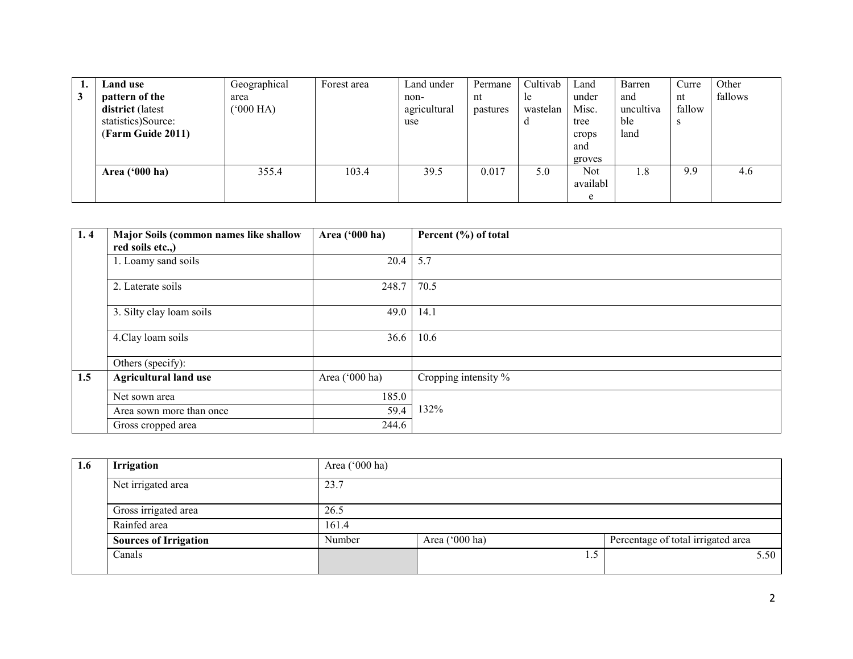|   | Land use                | Geographical | Forest area | Land under   | Permane  | Cultivab | Land       | Barren    | Curre  | Other   |
|---|-------------------------|--------------|-------------|--------------|----------|----------|------------|-----------|--------|---------|
| 3 | pattern of the          | area         |             | non-         | nt       | le.      | under      | and       | nt     | fallows |
|   | <b>district</b> (latest | $(000)$ HA)  |             | agricultural | pastures | wastelan | Misc.      | uncultiva | fallow |         |
|   | statistics)Source:      |              |             | use          |          | a        | tree       | ble       | S      |         |
|   | (Farm Guide 2011)       |              |             |              |          |          | crops      | land      |        |         |
|   |                         |              |             |              |          |          | and        |           |        |         |
|   |                         |              |             |              |          |          | groves     |           |        |         |
|   | Area $('000 ha)$        | 355.4        | 103.4       | 39.5         | 0.017    | 5.0      | <b>Not</b> | 1.8       | 9.9    | 4.6     |
|   |                         |              |             |              |          |          | availabl   |           |        |         |
|   |                         |              |             |              |          |          | e          |           |        |         |

| 1.4 | Major Soils (common names like shallow | Area ('000 ha) | Percent (%) of total |
|-----|----------------------------------------|----------------|----------------------|
|     | red soils etc.,)                       |                |                      |
|     | 1. Loamy sand soils                    | 20.4           | 5.7                  |
|     | 2. Laterate soils                      | 248.7          | 70.5                 |
|     | 3. Silty clay loam soils               | 49.0           | 14.1                 |
|     | 4. Clay loam soils                     | 36.6           | 10.6                 |
|     | Others (specify):                      |                |                      |
| 1.5 | <b>Agricultural land use</b>           | Area ('000 ha) | Cropping intensity % |
|     | Net sown area                          | 185.0          |                      |
|     | Area sown more than once               | 59.4           | 132%                 |
|     | Gross cropped area                     | 244.6          |                      |

| 1.6 | <b>Irrigation</b>            | Area $(000 \text{ ha})$ |                |                                    |
|-----|------------------------------|-------------------------|----------------|------------------------------------|
|     | Net irrigated area           | 23.7                    |                |                                    |
|     | Gross irrigated area         | 26.5                    |                |                                    |
|     | Rainfed area                 | 161.4                   |                |                                    |
|     | <b>Sources of Irrigation</b> | Number                  | Area ('000 ha) | Percentage of total irrigated area |
|     | Canals                       |                         |                | 5.50                               |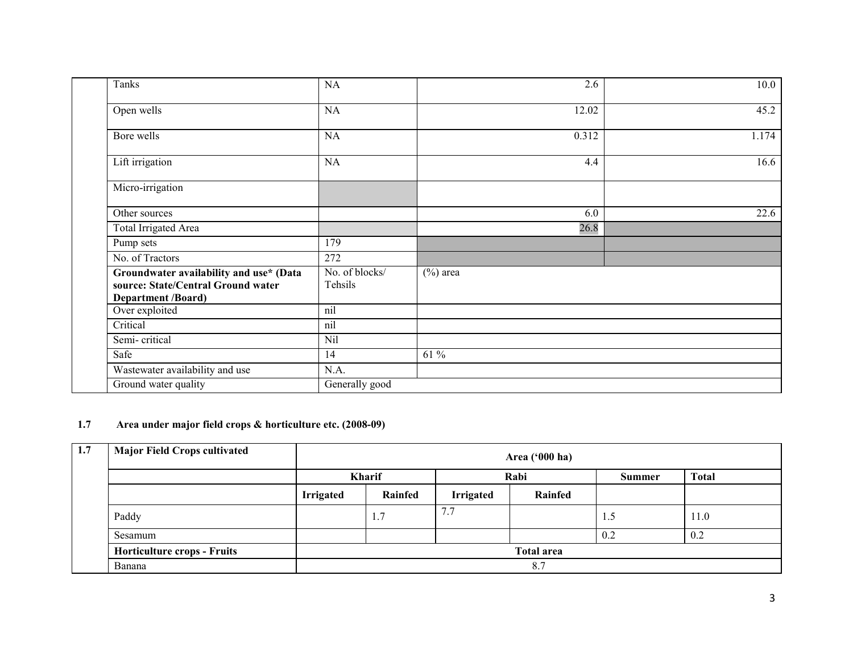| Tanks                                                                                                      | NA                        | 2.6         | 10.0  |
|------------------------------------------------------------------------------------------------------------|---------------------------|-------------|-------|
| Open wells                                                                                                 | NA                        | 12.02       | 45.2  |
| Bore wells                                                                                                 | NA                        | 0.312       | 1.174 |
| Lift irrigation                                                                                            | NA                        | 4.4         | 16.6  |
| Micro-irrigation                                                                                           |                           |             |       |
| Other sources                                                                                              |                           | 6.0         | 22.6  |
| Total Irrigated Area                                                                                       |                           | 26.8        |       |
| Pump sets                                                                                                  | 179                       |             |       |
| No. of Tractors                                                                                            | 272                       |             |       |
| Groundwater availability and use* (Data<br>source: State/Central Ground water<br><b>Department /Board)</b> | No. of blocks/<br>Tehsils | $(\%)$ area |       |
| Over exploited                                                                                             | nil                       |             |       |
| Critical                                                                                                   | nil                       |             |       |
| Semi-critical                                                                                              | Nil                       |             |       |
| Safe                                                                                                       | 14                        | 61 %        |       |
| Wastewater availability and use                                                                            | N.A.                      |             |       |
| Ground water quality                                                                                       | Generally good            |             |       |

#### 1.7 Area under major field crops & horticulture etc. (2008-09)

| 1.7 | <b>Major Field Crops cultivated</b> |                  | Area ('000 ha) |                  |                   |     |      |  |  |
|-----|-------------------------------------|------------------|----------------|------------------|-------------------|-----|------|--|--|
|     |                                     |                  | <b>Kharif</b>  | <b>Summer</b>    | <b>Total</b>      |     |      |  |  |
|     |                                     | <b>Irrigated</b> | Rainfed        | <b>Irrigated</b> | Rainfed           |     |      |  |  |
|     | Paddy                               |                  | 1.7            | 7.7              |                   | 1.J | 11.0 |  |  |
|     | Sesamum                             |                  |                |                  |                   | 0.2 | 0.2  |  |  |
|     | <b>Horticulture crops - Fruits</b>  |                  |                |                  | <b>Total area</b> |     |      |  |  |
|     | Banana                              |                  |                |                  | 8.7               |     |      |  |  |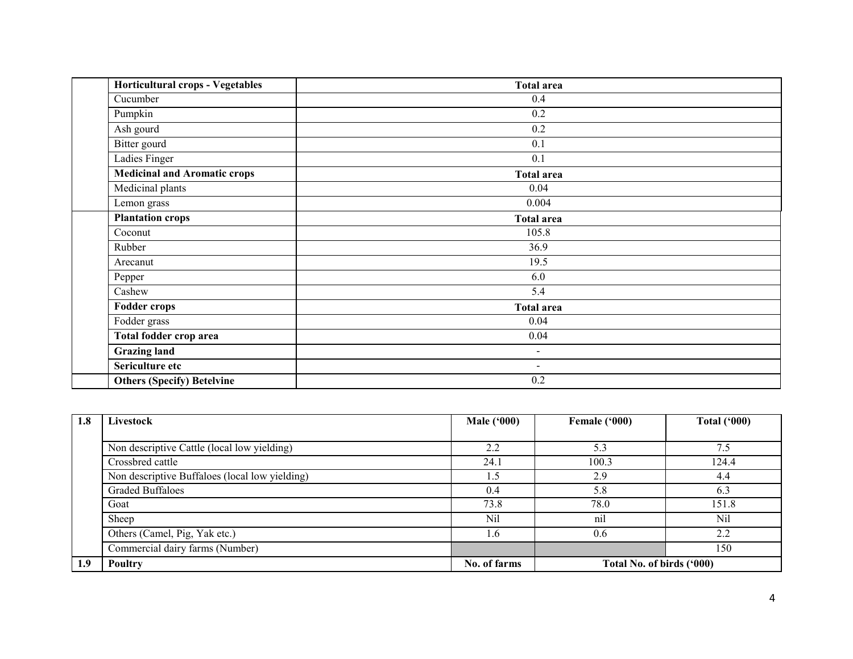| <b>Horticultural crops - Vegetables</b> | <b>Total area</b> |  |
|-----------------------------------------|-------------------|--|
| Cucumber                                | 0.4               |  |
| Pumpkin                                 | 0.2               |  |
| Ash gourd                               | 0.2               |  |
| Bitter gourd                            | 0.1               |  |
| Ladies Finger                           | 0.1               |  |
| <b>Medicinal and Aromatic crops</b>     | <b>Total area</b> |  |
| Medicinal plants                        | 0.04              |  |
| Lemon grass                             | 0.004             |  |
| <b>Plantation crops</b>                 | <b>Total area</b> |  |
| Coconut                                 | 105.8             |  |
| Rubber                                  | 36.9              |  |
| Arecanut                                | 19.5              |  |
| Pepper                                  | 6.0               |  |
| Cashew                                  | 5.4               |  |
| <b>Fodder crops</b>                     | <b>Total area</b> |  |
| Fodder grass                            | 0.04              |  |
| Total fodder crop area                  | 0.04              |  |
| <b>Grazing land</b>                     | $\sim$            |  |
| Sericulture etc                         | $\sim$            |  |
| <b>Others (Specify) Betelvine</b>       | 0.2               |  |

| 1.8 | Livestock                                      | Male $(900)$ | Female ('000)             | <b>Total ('000)</b> |
|-----|------------------------------------------------|--------------|---------------------------|---------------------|
|     |                                                |              |                           |                     |
|     | Non descriptive Cattle (local low yielding)    | 2.2          | 5.3                       | 7.5                 |
|     | Crossbred cattle                               |              | 100.3                     | 124.4               |
|     | Non descriptive Buffaloes (local low yielding) |              | 2.9                       | 4.4                 |
|     | <b>Graded Buffaloes</b>                        | 0.4          | 5.8                       | 6.3                 |
|     | Goat                                           | 73.8         | 78.0                      | 151.8               |
|     | Sheep                                          | Nil          | nil                       | Nil                 |
|     | Others (Camel, Pig, Yak etc.)                  | 1.6          | 0.6                       | 2.2                 |
|     | Commercial dairy farms (Number)                |              |                           | 150                 |
| 1.9 | Poultry                                        | No. of farms | Total No. of birds ('000) |                     |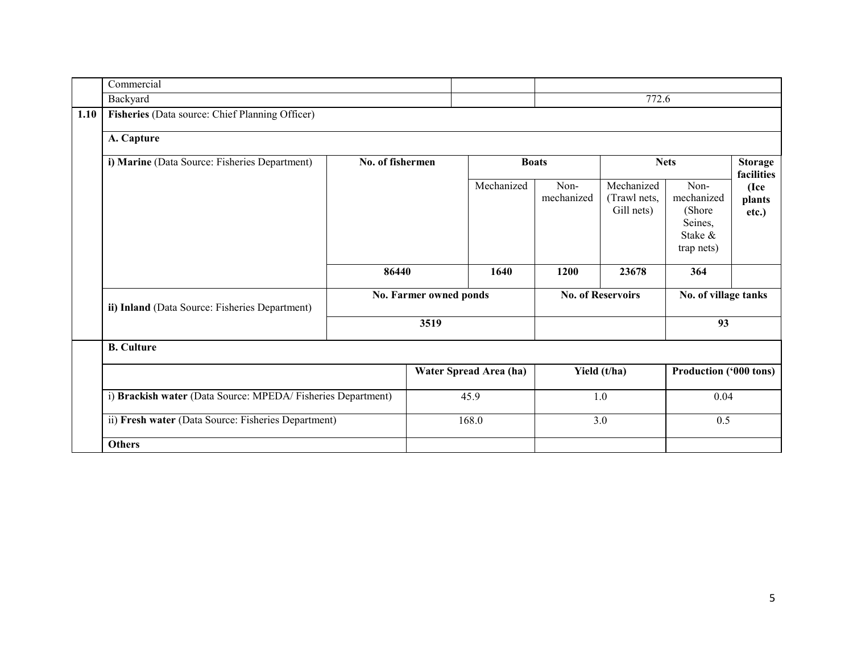|      | Commercial                                                                                                         |                        |  |                        |                    |                                          |                                                                   |                              |
|------|--------------------------------------------------------------------------------------------------------------------|------------------------|--|------------------------|--------------------|------------------------------------------|-------------------------------------------------------------------|------------------------------|
|      | Backyard                                                                                                           |                        |  |                        |                    | 772.6                                    |                                                                   |                              |
| 1.10 | Fisheries (Data source: Chief Planning Officer)                                                                    |                        |  |                        |                    |                                          |                                                                   |                              |
|      | A. Capture                                                                                                         |                        |  |                        |                    |                                          |                                                                   |                              |
|      | i) Marine (Data Source: Fisheries Department)                                                                      | No. of fishermen       |  |                        | <b>Boats</b>       |                                          | <b>Nets</b>                                                       | <b>Storage</b><br>facilities |
|      |                                                                                                                    |                        |  | Mechanized             | Non-<br>mechanized | Mechanized<br>(Trawl nets,<br>Gill nets) | Non-<br>mechanized<br>(Shore)<br>Seines,<br>Stake &<br>trap nets) | (Ice<br>plants<br>etc.)      |
|      |                                                                                                                    | 86440                  |  | 1640                   | 1200               | 23678                                    | 364                                                               |                              |
|      | ii) Inland (Data Source: Fisheries Department)                                                                     | No. Farmer owned ponds |  |                        |                    | <b>No. of Reservoirs</b>                 |                                                                   | No. of village tanks         |
|      |                                                                                                                    | 3519                   |  |                        |                    | 93                                       |                                                                   |                              |
|      | <b>B.</b> Culture                                                                                                  |                        |  |                        |                    |                                          |                                                                   |                              |
|      |                                                                                                                    |                        |  | Water Spread Area (ha) |                    | Yield (t/ha)                             | Production ('000 tons)                                            |                              |
|      | i) Brackish water (Data Source: MPEDA/Fisheries Department)<br>ii) Fresh water (Data Source: Fisheries Department) |                        |  | 45.9                   |                    | 1.0                                      | 0.04                                                              |                              |
|      |                                                                                                                    |                        |  | 168.0                  | 3.0                |                                          | 0.5                                                               |                              |
|      | <b>Others</b>                                                                                                      |                        |  |                        |                    |                                          |                                                                   |                              |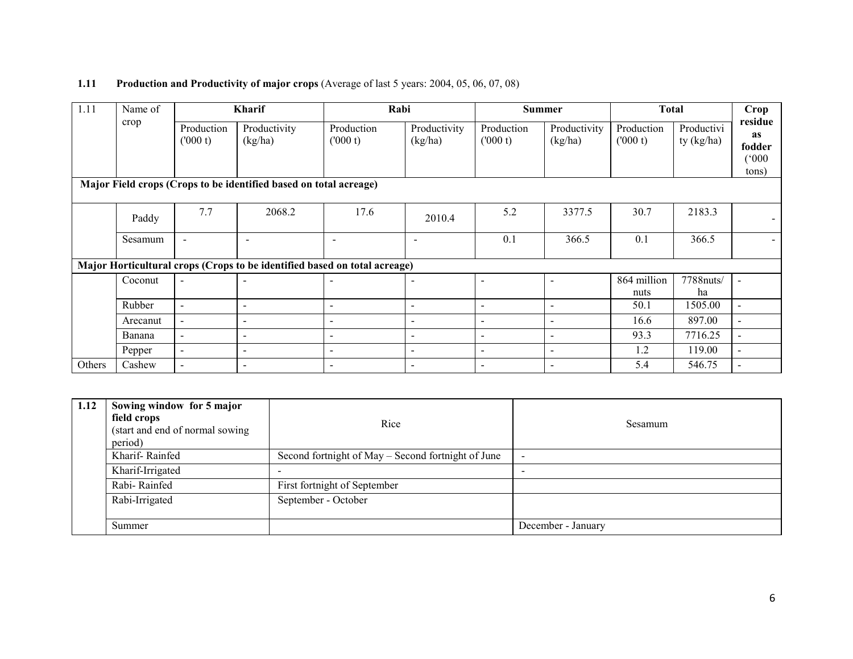#### **1.11** Production and Productivity of major crops (Average of last 5 years: 2004, 05, 06, 07, 08)

| 1.11   | Name of  |                          | <b>Kharif</b>                                                             | Rabi                     |                          |                          | <b>Summer</b>            | <b>Total</b>          |                            | Crop                                      |
|--------|----------|--------------------------|---------------------------------------------------------------------------|--------------------------|--------------------------|--------------------------|--------------------------|-----------------------|----------------------------|-------------------------------------------|
|        | crop     | Production<br>(000 t)    | Productivity<br>(kg/ha)                                                   | Production<br>(000 t)    | Productivity<br>(kg/ha)  | Production<br>(000 t)    | Productivity<br>(kg/ha)  | Production<br>(000 t) | Productivi<br>ty $(kg/ha)$ | residue<br>as<br>fodder<br>(000)<br>tons) |
|        |          |                          | Major Field crops (Crops to be identified based on total acreage)         |                          |                          |                          |                          |                       |                            |                                           |
|        | Paddy    | 7.7                      | 2068.2                                                                    | 17.6                     | 2010.4                   | 5.2                      | 3377.5                   | 30.7                  | 2183.3                     |                                           |
|        | Sesamum  |                          | $\overline{\phantom{0}}$                                                  | $\blacksquare$           | $\overline{\phantom{a}}$ | 0.1                      | 366.5                    | 0.1                   | 366.5                      |                                           |
|        |          |                          | Major Horticultural crops (Crops to be identified based on total acreage) |                          |                          |                          |                          |                       |                            |                                           |
|        | Coconut  | $\sim$                   |                                                                           | $\overline{\phantom{0}}$ |                          | $\overline{\phantom{a}}$ | $\overline{\phantom{a}}$ | 864 million<br>nuts   | 7788nuts/<br>ha            |                                           |
|        | Rubber   | $\blacksquare$           | $\sim$                                                                    | $\overline{\phantom{a}}$ | $\overline{\phantom{a}}$ | $\overline{\phantom{a}}$ | $\overline{\phantom{a}}$ | 50.1                  | 1505.00                    | $\blacksquare$                            |
|        | Arecanut | $\blacksquare$           | $\overline{\phantom{a}}$                                                  | $\overline{\phantom{0}}$ | $\overline{\phantom{a}}$ | $\overline{\phantom{a}}$ | $\overline{\phantom{0}}$ | 16.6                  | 897.00                     | $\blacksquare$                            |
|        | Banana   | $\overline{\phantom{0}}$ | $\sim$                                                                    | $\overline{\phantom{a}}$ | $\overline{\phantom{a}}$ | $\blacksquare$           | $\sim$                   | 93.3                  | 7716.25                    | $\blacksquare$                            |
|        | Pepper   | $\blacksquare$           | $\overline{\phantom{a}}$                                                  | $\overline{\phantom{a}}$ | $\overline{\phantom{a}}$ | $\overline{\phantom{a}}$ | $\overline{\phantom{a}}$ | 1.2                   | 119.00                     | $\overline{\phantom{a}}$                  |
| Others | Cashew   |                          |                                                                           |                          |                          |                          | $\overline{\phantom{a}}$ | 5.4                   | 546.75                     |                                           |

| 1.12 | Sowing window for 5 major<br>field crops<br>(start and end of normal sowing)<br>period) | Rice                                               | Sesamum                  |
|------|-----------------------------------------------------------------------------------------|----------------------------------------------------|--------------------------|
|      | Kharif-Rainfed                                                                          | Second fortnight of May – Second fortnight of June | $\overline{\phantom{a}}$ |
|      | Kharif-Irrigated                                                                        |                                                    | $\overline{\phantom{0}}$ |
|      | Rabi-Rainfed                                                                            | First fortnight of September                       |                          |
|      | Rabi-Irrigated                                                                          | September - October                                |                          |
|      | Summer                                                                                  |                                                    | December - January       |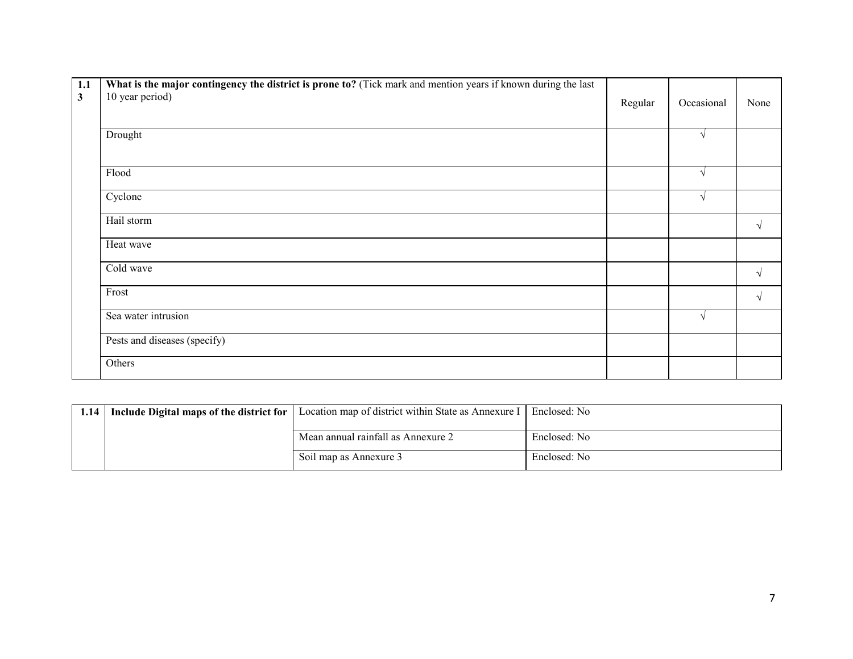| 1.1          | What is the major contingency the district is prone to? (Tick mark and mention years if known during the last |         |               |            |
|--------------|---------------------------------------------------------------------------------------------------------------|---------|---------------|------------|
| $\mathbf{3}$ | 10 year period)                                                                                               | Regular | Occasional    | None       |
|              |                                                                                                               |         |               |            |
|              | Drought                                                                                                       |         | $\sqrt{ }$    |            |
|              |                                                                                                               |         |               |            |
|              | Flood                                                                                                         |         | $\sqrt{ }$    |            |
|              | Cyclone                                                                                                       |         | $\mathcal{N}$ |            |
|              | Hail storm                                                                                                    |         |               | $\sqrt{ }$ |
|              | Heat wave                                                                                                     |         |               |            |
|              | Cold wave                                                                                                     |         |               | $\sqrt{ }$ |
|              | Frost                                                                                                         |         |               | $\sqrt{ }$ |
|              | Sea water intrusion                                                                                           |         | $\sqrt{ }$    |            |
|              | Pests and diseases (specify)                                                                                  |         |               |            |
|              | Others                                                                                                        |         |               |            |

|  | 1.14   Include Digital maps of the district for $\vert$ Location map of district within State as Annexure I $\vert$ | Enclosed: No |
|--|---------------------------------------------------------------------------------------------------------------------|--------------|
|  | Mean annual rainfall as Annexure 2                                                                                  | Enclosed: No |
|  | Soil map as Annexure 3                                                                                              | Enclosed: No |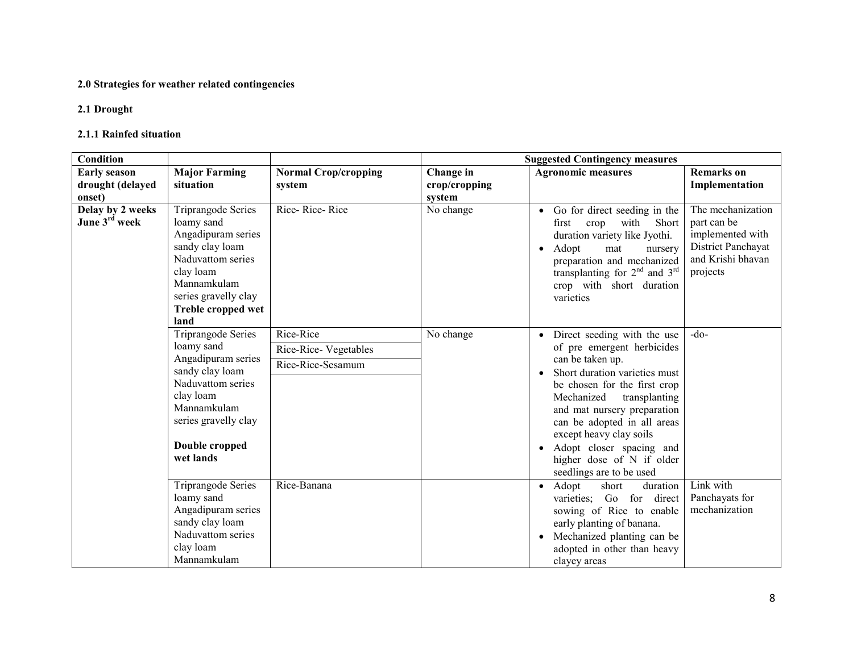#### 2.0 Strategies for weather related contingencies

## 2.1 Drought

#### 2.1.1 Rainfed situation

| Condition                                     |                                                                                                                                                                                         |                             |               | <b>Suggested Contingency measures</b>                                                                                                                                                                                                                            |                                                                                                             |
|-----------------------------------------------|-----------------------------------------------------------------------------------------------------------------------------------------------------------------------------------------|-----------------------------|---------------|------------------------------------------------------------------------------------------------------------------------------------------------------------------------------------------------------------------------------------------------------------------|-------------------------------------------------------------------------------------------------------------|
| <b>Early season</b>                           | <b>Major Farming</b>                                                                                                                                                                    | <b>Normal Crop/cropping</b> | Change in     | <b>Agronomic measures</b>                                                                                                                                                                                                                                        | <b>Remarks</b> on                                                                                           |
| drought (delayed                              | situation                                                                                                                                                                               | system                      | crop/cropping |                                                                                                                                                                                                                                                                  | Implementation                                                                                              |
| onset)                                        |                                                                                                                                                                                         |                             | system        |                                                                                                                                                                                                                                                                  |                                                                                                             |
| Delay by 2 weeks<br>June 3 <sup>rd</sup> week | <b>Triprangode Series</b><br>loamy sand<br>Angadipuram series<br>sandy clay loam<br>Naduvattom series<br>clay loam<br>Mannamkulam<br>series gravelly clay<br>Treble cropped wet<br>land | Rice-Rice-Rice              | No change     | Go for direct seeding in the<br>$\bullet$<br>with<br>Short<br>first<br>crop<br>duration variety like Jyothi.<br>Adopt<br>mat<br>nursery<br>$\bullet$<br>preparation and mechanized<br>transplanting for $2nd$ and $3rd$<br>crop with short duration<br>varieties | The mechanization<br>part can be<br>implemented with<br>District Panchayat<br>and Krishi bhavan<br>projects |
|                                               | <b>Triprangode Series</b>                                                                                                                                                               | Rice-Rice                   | No change     | Direct seeding with the use<br>$\bullet$                                                                                                                                                                                                                         | $-do-$                                                                                                      |
|                                               | loamy sand                                                                                                                                                                              | Rice-Rice-Vegetables        |               | of pre emergent herbicides                                                                                                                                                                                                                                       |                                                                                                             |
|                                               | Angadipuram series                                                                                                                                                                      | Rice-Rice-Sesamum           |               | can be taken up.                                                                                                                                                                                                                                                 |                                                                                                             |
|                                               | sandy clay loam<br>Naduvattom series                                                                                                                                                    |                             |               | Short duration varieties must<br>be chosen for the first crop                                                                                                                                                                                                    |                                                                                                             |
|                                               | clay loam                                                                                                                                                                               |                             |               | Mechanized<br>transplanting                                                                                                                                                                                                                                      |                                                                                                             |
|                                               | Mannamkulam                                                                                                                                                                             |                             |               | and mat nursery preparation                                                                                                                                                                                                                                      |                                                                                                             |
|                                               | series gravelly clay                                                                                                                                                                    |                             |               | can be adopted in all areas                                                                                                                                                                                                                                      |                                                                                                             |
|                                               |                                                                                                                                                                                         |                             |               | except heavy clay soils                                                                                                                                                                                                                                          |                                                                                                             |
|                                               | Double cropped<br>wet lands                                                                                                                                                             |                             |               | Adopt closer spacing and<br>$\bullet$<br>higher dose of N if older                                                                                                                                                                                               |                                                                                                             |
|                                               |                                                                                                                                                                                         |                             |               | seedlings are to be used                                                                                                                                                                                                                                         |                                                                                                             |
|                                               | Triprangode Series                                                                                                                                                                      | Rice-Banana                 |               | Adopt<br>short<br>duration<br>$\bullet$                                                                                                                                                                                                                          | Link with                                                                                                   |
|                                               | loamy sand                                                                                                                                                                              |                             |               | Go for direct<br>varieties:                                                                                                                                                                                                                                      | Panchayats for                                                                                              |
|                                               | Angadipuram series                                                                                                                                                                      |                             |               | sowing of Rice to enable                                                                                                                                                                                                                                         | mechanization                                                                                               |
|                                               | sandy clay loam                                                                                                                                                                         |                             |               | early planting of banana.                                                                                                                                                                                                                                        |                                                                                                             |
|                                               | Naduvattom series                                                                                                                                                                       |                             |               | Mechanized planting can be<br>$\bullet$                                                                                                                                                                                                                          |                                                                                                             |
|                                               | clay loam<br>Mannamkulam                                                                                                                                                                |                             |               | adopted in other than heavy<br>clayey areas                                                                                                                                                                                                                      |                                                                                                             |
|                                               |                                                                                                                                                                                         |                             |               |                                                                                                                                                                                                                                                                  |                                                                                                             |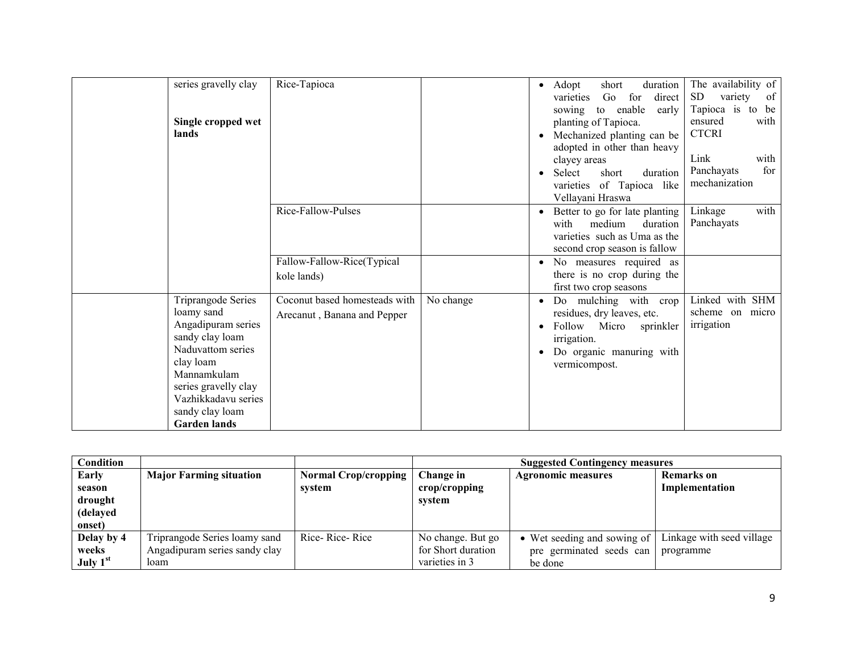| series gravelly clay<br>Single cropped wet<br>lands                                                                                                                                                                        | Rice-Tapioca                                                 |           | $\bullet$<br>$\bullet$<br>$\bullet$ | duration<br>Adopt<br>short<br>for<br>direct<br>Go<br>varieties<br>to enable<br>early<br>sowing<br>planting of Tapioca.<br>Mechanized planting can be<br>adopted in other than heavy<br>clayey areas<br>Select<br>short<br>duration<br>of Tapioca like<br>varieties<br>Vellayani Hraswa | The availability of<br>SD.<br>variety<br>of<br>Tapioca is<br>to be<br>ensured<br>with<br><b>CTCRI</b><br>with<br>Link<br>for<br>Panchayats<br>mechanization |
|----------------------------------------------------------------------------------------------------------------------------------------------------------------------------------------------------------------------------|--------------------------------------------------------------|-----------|-------------------------------------|----------------------------------------------------------------------------------------------------------------------------------------------------------------------------------------------------------------------------------------------------------------------------------------|-------------------------------------------------------------------------------------------------------------------------------------------------------------|
|                                                                                                                                                                                                                            | Rice-Fallow-Pulses<br>Fallow-Fallow-Rice(Typical             |           |                                     | Better to go for late planting<br>medium<br>duration<br>with<br>varieties such as Uma as the<br>second crop season is fallow<br>No measures required as<br>there is no crop during the                                                                                                 | with<br>Linkage<br>Panchayats                                                                                                                               |
|                                                                                                                                                                                                                            | kole lands)                                                  |           |                                     | first two crop seasons                                                                                                                                                                                                                                                                 |                                                                                                                                                             |
| <b>Triprangode Series</b><br>loamy sand<br>Angadipuram series<br>sandy clay loam<br>Naduvattom series<br>clay loam<br>Mannamkulam<br>series gravelly clay<br>Vazhikkadavu series<br>sandy clay loam<br><b>Garden lands</b> | Coconut based homesteads with<br>Arecanut, Banana and Pepper | No change | $\bullet$<br>$\bullet$<br>$\bullet$ | Do mulching with crop<br>residues, dry leaves, etc.<br>Follow<br>Micro<br>sprinkler<br>irrigation.<br>Do organic manuring with<br>vermicompost.                                                                                                                                        | Linked with SHM<br>scheme on micro<br>irrigation                                                                                                            |

| <b>Condition</b> |                                |                      |                    | <b>Suggested Contingency measures</b> |                           |
|------------------|--------------------------------|----------------------|--------------------|---------------------------------------|---------------------------|
| Early            | <b>Major Farming situation</b> | Normal Crop/cropping | Change in          | <b>Agronomic measures</b>             | <b>Remarks</b> on         |
| season           |                                | system               | crop/cropping      |                                       | Implementation            |
| drought          |                                |                      | system             |                                       |                           |
| (delayed         |                                |                      |                    |                                       |                           |
| onset)           |                                |                      |                    |                                       |                           |
| Delay by 4       | Triprangode Series loamy sand  | Rice-Rice-Rice       | No change. But go  | • Wet seeding and sowing of           | Linkage with seed village |
| weeks            | Angadipuram series sandy clay  |                      | for Short duration | pre germinated seeds can              | programme                 |
| July $1st$       | loam                           |                      | varieties in 3     | be done                               |                           |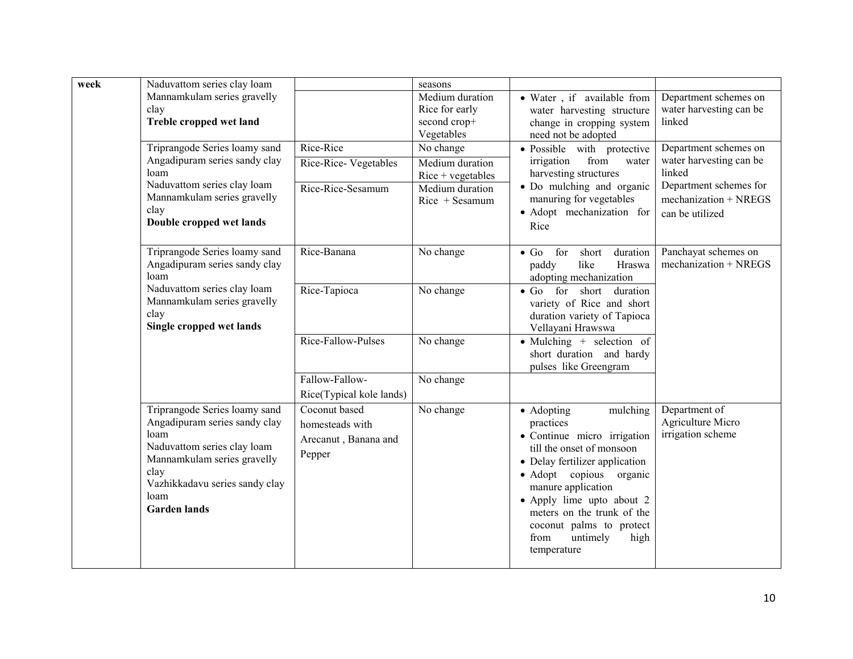| week | Naduvattom series clay loam                                                                                                                                                                                   |                                                                                                 | seasons                                                                                    |                                                                                                                                                                                                                                                                                                                      |                                                                                                                                    |
|------|---------------------------------------------------------------------------------------------------------------------------------------------------------------------------------------------------------------|-------------------------------------------------------------------------------------------------|--------------------------------------------------------------------------------------------|----------------------------------------------------------------------------------------------------------------------------------------------------------------------------------------------------------------------------------------------------------------------------------------------------------------------|------------------------------------------------------------------------------------------------------------------------------------|
|      | Mannamkulam series gravelly<br>clay<br>Treble cropped wet land                                                                                                                                                |                                                                                                 | Medium duration<br>Rice for early<br>second crop+<br>Vegetables                            | • Water, if available from<br>water harvesting structure<br>change in cropping system<br>need not be adopted                                                                                                                                                                                                         | Department schemes on<br>water harvesting can be<br>linked                                                                         |
|      | Triprangode Series loamy sand<br>Angadipuram series sandy clay<br>loam<br>Naduvattom series clay loam<br>Mannamkulam series gravelly<br>clay<br>Double cropped wet lands                                      | Rice-Rice<br>Rice-Rice-Vegetables<br>Rice-Rice-Sesamum                                          | No change<br>Medium duration<br>$Rice + vegetables$<br>Medium duration<br>$Rice + Sesamum$ | · Possible with protective<br>irrigation<br>from<br>water<br>harvesting structures<br>• Do mulching and organic<br>manuring for vegetables<br>· Adopt mechanization for<br>Rice                                                                                                                                      | Department schemes on<br>water harvesting can be<br>linked<br>Department schemes for<br>$mechanization + NREGS$<br>can be utilized |
|      | Triprangode Series loamy sand<br>Angadipuram series sandy clay<br>loam<br>Naduvattom series clay loam<br>Mannamkulam series gravelly<br>clay<br>Single cropped wet lands                                      | Rice-Banana<br>Rice-Tapioca<br>Rice-Fallow-Pulses<br>Fallow-Fallow-<br>Rice(Typical kole lands) | No change<br>No change<br>No change<br>No change                                           | $\bullet$ Go<br>for<br>short duration<br>like<br>paddy<br>Hraswa<br>adopting mechanization<br>$\bullet$ Go<br>for short duration<br>variety of Rice and short<br>duration variety of Tapioca<br>Vellayani Hrawswa<br>$\bullet$ Mulching + selection of<br>short duration and hardy<br>pulses like Greengram          | Panchayat schemes on<br>$mechanization + NREGS$                                                                                    |
|      | Triprangode Series loamy sand<br>Angadipuram series sandy clay<br>loam<br>Naduvattom series clay loam<br>Mannamkulam series gravelly<br>clay<br>Vazhikkadavu series sandy clay<br>loam<br><b>Garden lands</b> | Coconut based<br>homesteads with<br>Arecanut, Banana and<br>Pepper                              | No change                                                                                  | • Adopting<br>mulching<br>practices<br>• Continue micro irrigation<br>till the onset of monsoon<br>• Delay fertilizer application<br>· Adopt copious organic<br>manure application<br>• Apply lime upto about 2<br>meters on the trunk of the<br>coconut palms to protect<br>untimely<br>from<br>high<br>temperature | Department of<br>Agriculture Micro<br>irrigation scheme                                                                            |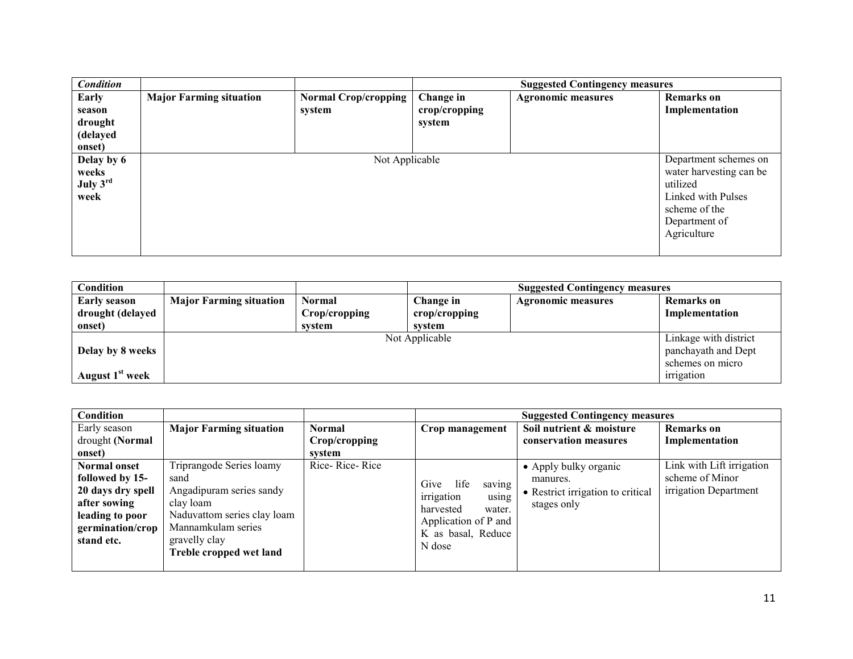| <b>Condition</b> |                                |                             |                  | <b>Suggested Contingency measures</b> |                         |
|------------------|--------------------------------|-----------------------------|------------------|---------------------------------------|-------------------------|
| Early            | <b>Major Farming situation</b> | <b>Normal Crop/cropping</b> | <b>Change in</b> | <b>Agronomic measures</b>             | <b>Remarks</b> on       |
| season           |                                | system                      | crop/cropping    |                                       | Implementation          |
| drought          |                                |                             | system           |                                       |                         |
| (delayed         |                                |                             |                  |                                       |                         |
| onset)           |                                |                             |                  |                                       |                         |
| Delay by 6       |                                | Not Applicable              |                  |                                       | Department schemes on   |
| weeks            |                                |                             |                  |                                       | water harvesting can be |
| July $3rd$       |                                |                             |                  |                                       | utilized                |
| week             |                                |                             |                  |                                       | Linked with Pulses      |
|                  |                                |                             |                  |                                       | scheme of the           |
|                  |                                |                             |                  |                                       | Department of           |
|                  |                                |                             |                  |                                       | Agriculture             |
|                  |                                |                             |                  |                                       |                         |

| Condition                   |                                |               |                | <b>Suggested Contingency measures</b> |                       |
|-----------------------------|--------------------------------|---------------|----------------|---------------------------------------|-----------------------|
| <b>Early season</b>         | <b>Major Farming situation</b> | Normal        | Change in      | <b>Agronomic measures</b>             | Remarks on            |
| drought (delayed            |                                | Crop/cropping | crop/cropping  |                                       | Implementation        |
| onset)                      |                                | system        | system         |                                       |                       |
|                             |                                |               | Not Applicable |                                       | Linkage with district |
| Delay by 8 weeks            |                                |               |                |                                       | panchayath and Dept   |
|                             |                                |               |                |                                       | schemes on micro      |
| August 1 <sup>st</sup> week |                                |               |                |                                       | irrigation            |

| Condition                                                                                      |                                                                                                          |                |                                                                      | <b>Suggested Contingency measures</b>                                                 |                                                                       |
|------------------------------------------------------------------------------------------------|----------------------------------------------------------------------------------------------------------|----------------|----------------------------------------------------------------------|---------------------------------------------------------------------------------------|-----------------------------------------------------------------------|
| Early season                                                                                   | <b>Major Farming situation</b>                                                                           | <b>Normal</b>  | Crop management                                                      | Soil nutrient & moisture                                                              | <b>Remarks</b> on                                                     |
| drought (Normal                                                                                |                                                                                                          | Crop/cropping  |                                                                      | conservation measures                                                                 | Implementation                                                        |
| onset)                                                                                         |                                                                                                          | system         |                                                                      |                                                                                       |                                                                       |
| <b>Normal onset</b><br>followed by 15-<br>20 days dry spell<br>after sowing<br>leading to poor | Triprangode Series loamy<br>sand<br>Angadipuram series sandy<br>clay loam<br>Naduvattom series clay loam | Rice-Rice-Rice | Give<br>saving<br>life<br>irrigation<br>using<br>harvested<br>water. | • Apply bulky organic<br>manures.<br>• Restrict irrigation to critical<br>stages only | Link with Lift irrigation<br>scheme of Minor<br>irrigation Department |
| germination/crop<br>stand etc.                                                                 | Mannamkulam series<br>gravelly clay<br>Treble cropped wet land                                           |                | Application of P and<br>K as basal, Reduce<br>N dose                 |                                                                                       |                                                                       |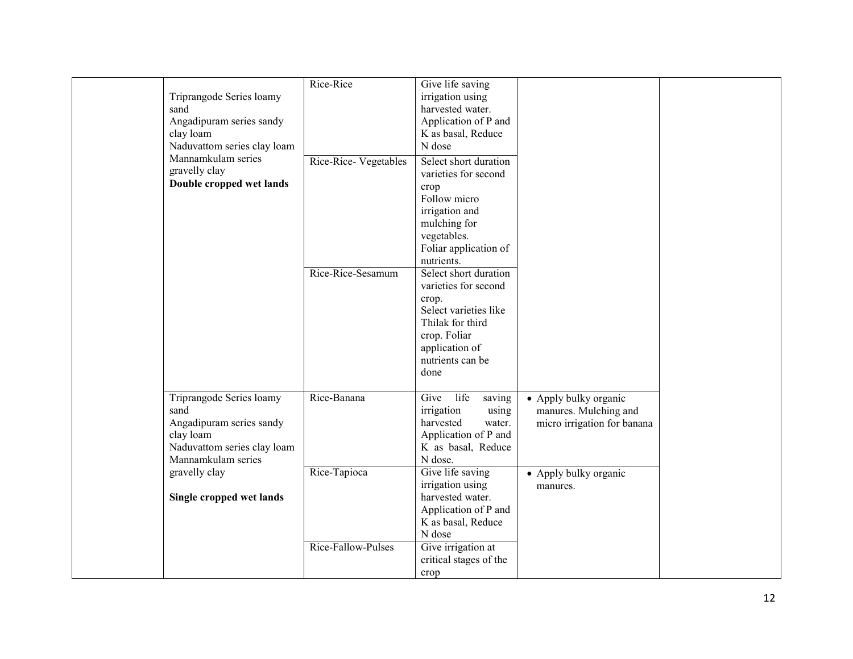| Triprangode Series loamy<br>sand<br>Angadipuram series sandy<br>clay loam<br>Naduvattom series clay loam                       | Rice-Rice            | Give life saving<br>irrigation using<br>harvested water.<br>Application of P and<br>K as basal, Reduce<br>N dose                                                  |                                                                               |  |
|--------------------------------------------------------------------------------------------------------------------------------|----------------------|-------------------------------------------------------------------------------------------------------------------------------------------------------------------|-------------------------------------------------------------------------------|--|
| Mannamkulam series<br>gravelly clay<br>Double cropped wet lands                                                                | Rice-Rice-Vegetables | Select short duration<br>varieties for second<br>crop<br>Follow micro<br>irrigation and<br>mulching for<br>vegetables.<br>Foliar application of<br>nutrients.     |                                                                               |  |
|                                                                                                                                | Rice-Rice-Sesamum    | Select short duration<br>varieties for second<br>crop.<br>Select varieties like<br>Thilak for third<br>crop. Foliar<br>application of<br>nutrients can be<br>done |                                                                               |  |
| Triprangode Series loamy<br>sand<br>Angadipuram series sandy<br>clay loam<br>Naduvattom series clay loam<br>Mannamkulam series | Rice-Banana          | Give<br>life<br>saving<br>irrigation<br>using<br>harvested<br>water.<br>Application of P and<br>K as basal, Reduce<br>N dose.                                     | • Apply bulky organic<br>manures. Mulching and<br>micro irrigation for banana |  |
| gravelly clay<br>Single cropped wet lands                                                                                      | Rice-Tapioca         | Give life saving<br>irrigation using<br>harvested water.<br>Application of P and<br>K as basal, Reduce<br>N dose                                                  | • Apply bulky organic<br>manures.                                             |  |
|                                                                                                                                | Rice-Fallow-Pulses   | Give irrigation at<br>critical stages of the<br>crop                                                                                                              |                                                                               |  |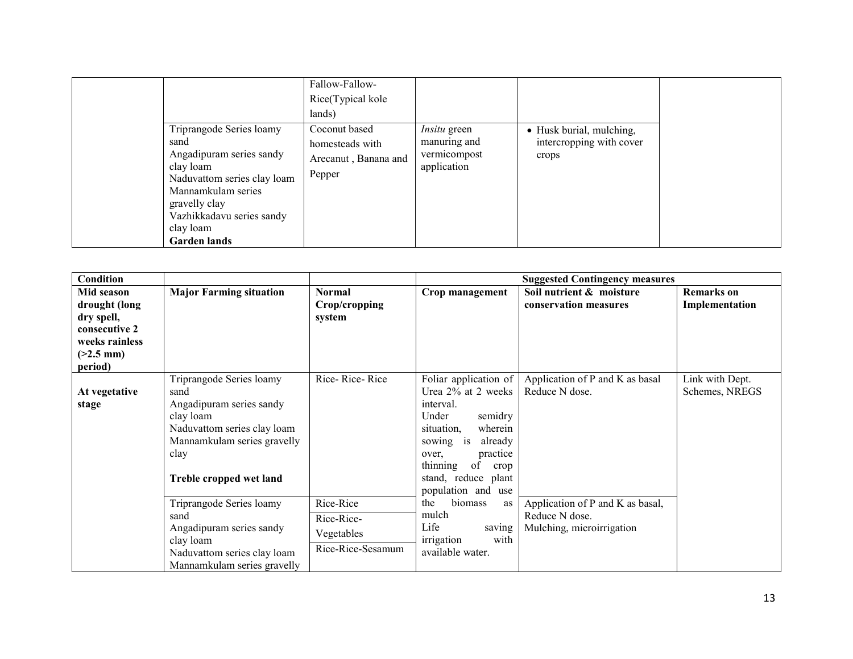| Triprangode Series loamy                                                                                                                                                             | Fallow-Fallow-<br>Rice(Typical kole<br>lands)<br>Coconut based | <i>Insitu</i> green                         | • Husk burial, mulching,          |
|--------------------------------------------------------------------------------------------------------------------------------------------------------------------------------------|----------------------------------------------------------------|---------------------------------------------|-----------------------------------|
| sand<br>Angadipuram series sandy<br>clay loam<br>Naduvattom series clay loam<br>Mannamkulam series<br>gravelly clay<br>Vazhikkadavu series sandy<br>clay loam<br><b>Garden lands</b> | homesteads with<br>Arecanut, Banana and<br>Pepper              | manuring and<br>vermicompost<br>application | intercropping with cover<br>crops |

| Condition                                                                                              |                                                                                                                                                                            |                                                            |                                                                                                                                                                                                                           | <b>Suggested Contingency measures</b>                                           |                                     |
|--------------------------------------------------------------------------------------------------------|----------------------------------------------------------------------------------------------------------------------------------------------------------------------------|------------------------------------------------------------|---------------------------------------------------------------------------------------------------------------------------------------------------------------------------------------------------------------------------|---------------------------------------------------------------------------------|-------------------------------------|
| Mid season<br>drought (long<br>dry spell,<br>consecutive 2<br>weeks rainless<br>$(>2.5$ mm)<br>period) | <b>Major Farming situation</b>                                                                                                                                             | Normal<br>Crop/cropping<br>system                          | Crop management                                                                                                                                                                                                           | Soil nutrient & moisture<br>conservation measures                               | <b>Remarks</b> on<br>Implementation |
| At vegetative<br>stage                                                                                 | Triprangode Series loamy<br>sand<br>Angadipuram series sandy<br>clay loam<br>Naduvattom series clay loam<br>Mannamkulam series gravelly<br>clay<br>Treble cropped wet land | Rice-Rice-Rice                                             | Foliar application of<br>Urea 2% at 2 weeks<br>interval.<br>Under<br>semidry<br>wherein<br>situation.<br>already<br>sowing is<br>practice<br>over.<br>thinning<br>of<br>crop<br>stand, reduce plant<br>population and use | Application of P and K as basal<br>Reduce N dose.                               | Link with Dept.<br>Schemes, NREGS   |
|                                                                                                        | Triprangode Series loamy<br>sand<br>Angadipuram series sandy<br>clay loam<br>Naduvattom series clay loam<br>Mannamkulam series gravelly                                    | Rice-Rice<br>Rice-Rice-<br>Vegetables<br>Rice-Rice-Sesamum | the<br>biomass<br>as<br>mulch<br>Life<br>saving<br>with<br>irrigation<br>available water.                                                                                                                                 | Application of P and K as basal,<br>Reduce N dose.<br>Mulching, microirrigation |                                     |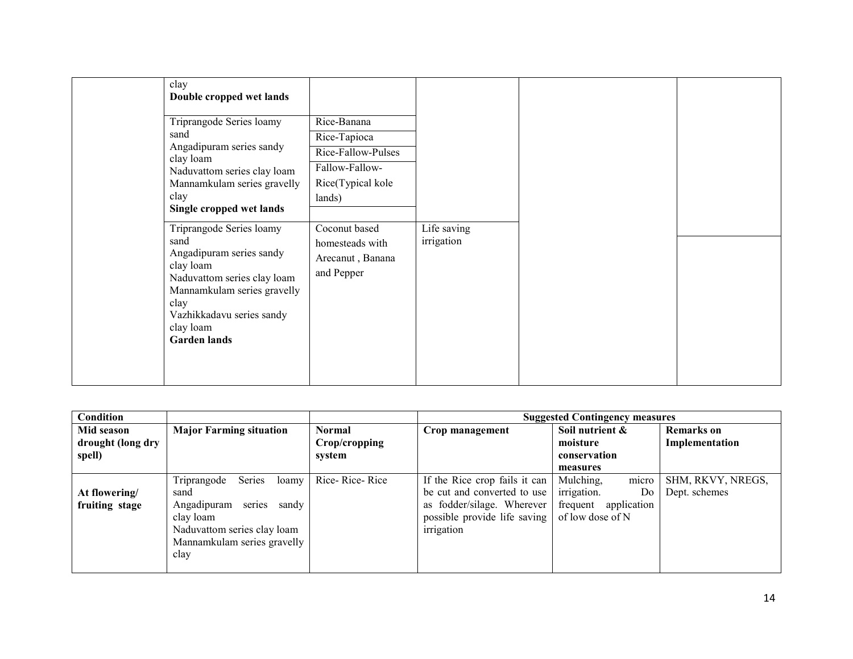| clay<br>Double cropped wet lands                                                                                                                                                                                 |                                                                                                    |                           |  |
|------------------------------------------------------------------------------------------------------------------------------------------------------------------------------------------------------------------|----------------------------------------------------------------------------------------------------|---------------------------|--|
| Triprangode Series loamy<br>sand<br>Angadipuram series sandy<br>clay loam<br>Naduvattom series clay loam<br>Mannamkulam series gravelly<br>clay<br>Single cropped wet lands                                      | Rice-Banana<br>Rice-Tapioca<br>Rice-Fallow-Pulses<br>Fallow-Fallow-<br>Rice(Typical kole<br>lands) |                           |  |
| Triprangode Series loamy<br>sand<br>Angadipuram series sandy<br>clay loam<br>Naduvattom series clay loam<br>Mannamkulam series gravelly<br>clay<br>Vazhikkadavu series sandy<br>clay loam<br><b>Garden lands</b> | Coconut based<br>homesteads with<br>Arecanut, Banana<br>and Pepper                                 | Life saving<br>irrigation |  |

| Condition         |                                       |                | <b>Suggested Contingency measures</b> |                         |                   |  |
|-------------------|---------------------------------------|----------------|---------------------------------------|-------------------------|-------------------|--|
| Mid season        | <b>Major Farming situation</b>        | Normal         | Crop management                       | Soil nutrient &         | <b>Remarks</b> on |  |
| drought (long dry |                                       | Crop/cropping  |                                       | moisture                | Implementation    |  |
| spell)            |                                       | system         |                                       | conservation            |                   |  |
|                   |                                       |                |                                       | measures                |                   |  |
|                   | <b>Series</b><br>Triprangode<br>loamy | Rice-Rice-Rice | If the Rice crop fails it can         | Mulching,<br>micro      | SHM, RKVY, NREGS, |  |
| At flowering/     | sand                                  |                | be cut and converted to use           | irrigation.<br>Do       | Dept. schemes     |  |
| fruiting stage    | series<br>Angadipuram<br>sandy        |                | as fodder/silage. Wherever            | frequent<br>application |                   |  |
|                   | clay loam                             |                | possible provide life saving          | of low dose of N        |                   |  |
|                   | Naduvattom series clay loam           |                | irrigation                            |                         |                   |  |
|                   | Mannamkulam series gravelly           |                |                                       |                         |                   |  |
|                   | clay                                  |                |                                       |                         |                   |  |
|                   |                                       |                |                                       |                         |                   |  |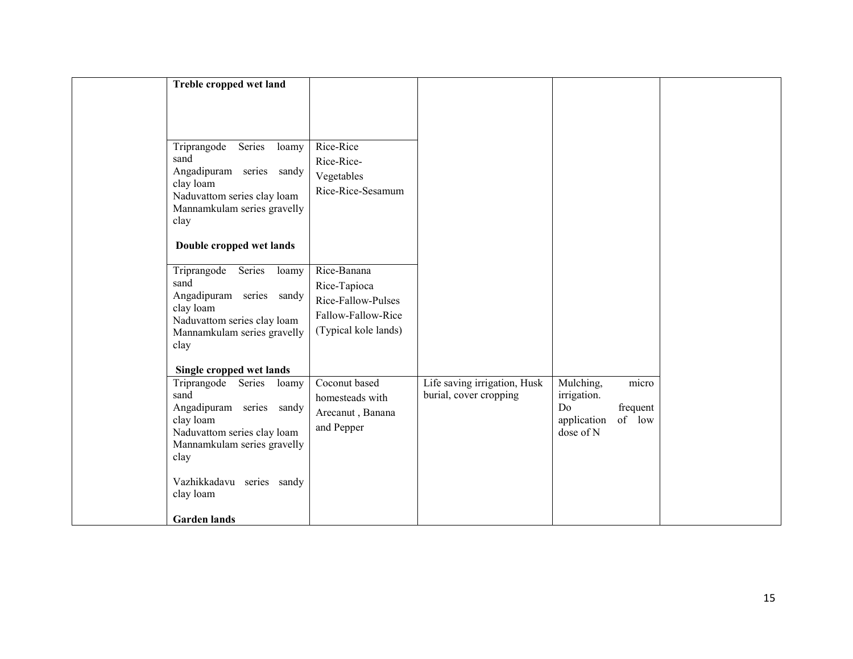| Treble cropped wet land                                                                                                                                                           |                                                                                                 |                                                        |                                                            |                             |  |
|-----------------------------------------------------------------------------------------------------------------------------------------------------------------------------------|-------------------------------------------------------------------------------------------------|--------------------------------------------------------|------------------------------------------------------------|-----------------------------|--|
| Triprangode<br>Series<br>loamy<br>sand<br>Angadipuram series sandy<br>clay loam<br>Naduvattom series clay loam<br>Mannamkulam series gravelly<br>clay                             | Rice-Rice<br>Rice-Rice-<br>Vegetables<br>Rice-Rice-Sesamum                                      |                                                        |                                                            |                             |  |
| Double cropped wet lands                                                                                                                                                          |                                                                                                 |                                                        |                                                            |                             |  |
| Series<br>Triprangode<br>loamy<br>sand<br>Angadipuram series sandy<br>clay loam<br>Naduvattom series clay loam<br>Mannamkulam series gravelly<br>clay                             | Rice-Banana<br>Rice-Tapioca<br>Rice-Fallow-Pulses<br>Fallow-Fallow-Rice<br>(Typical kole lands) |                                                        |                                                            |                             |  |
| Single cropped wet lands<br>Triprangode<br>Series<br>loamy<br>sand<br>Angadipuram series sandy<br>clay loam<br>Naduvattom series clay loam<br>Mannamkulam series gravelly<br>clay | Coconut based<br>homesteads with<br>Arecanut, Banana<br>and Pepper                              | Life saving irrigation, Husk<br>burial, cover cropping | Mulching,<br>irrigation.<br>Do<br>application<br>dose of N | micro<br>frequent<br>of low |  |
| Vazhikkadavu series sandy<br>clay loam<br><b>Garden lands</b>                                                                                                                     |                                                                                                 |                                                        |                                                            |                             |  |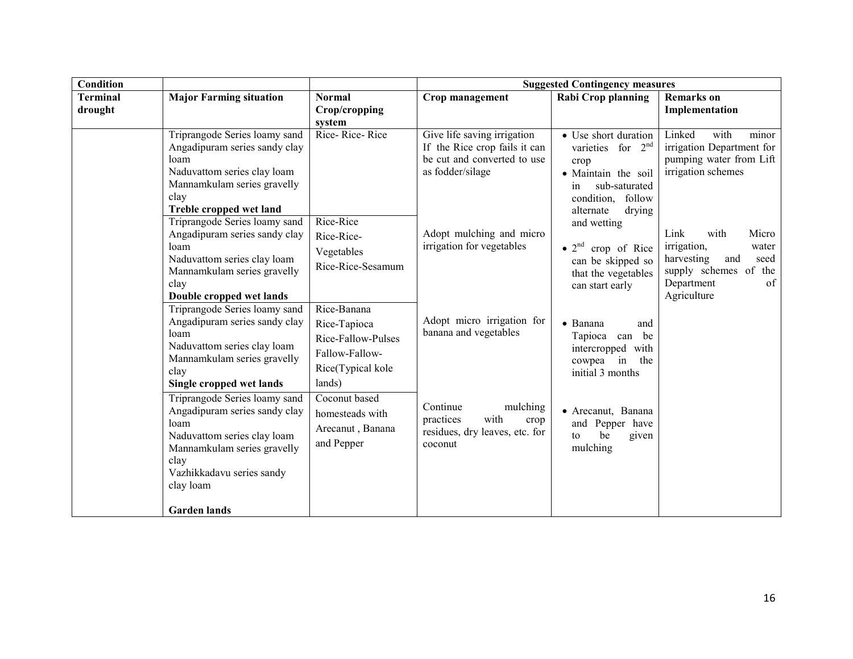| Condition                  |                                                                                                                                                                                                          |                                                                                     | <b>Suggested Contingency measures</b>                                                                           |                                                                                                                                                              |                                                                                                                                        |  |
|----------------------------|----------------------------------------------------------------------------------------------------------------------------------------------------------------------------------------------------------|-------------------------------------------------------------------------------------|-----------------------------------------------------------------------------------------------------------------|--------------------------------------------------------------------------------------------------------------------------------------------------------------|----------------------------------------------------------------------------------------------------------------------------------------|--|
| <b>Terminal</b><br>drought | <b>Major Farming situation</b>                                                                                                                                                                           | <b>Normal</b><br>Crop/cropping<br>system                                            | Crop management                                                                                                 | Rabi Crop planning                                                                                                                                           | <b>Remarks</b> on<br>Implementation                                                                                                    |  |
|                            | Triprangode Series loamy sand<br>Angadipuram series sandy clay<br>loam<br>Naduvattom series clay loam<br>Mannamkulam series gravelly<br>clay<br>Treble cropped wet land<br>Triprangode Series loamy sand | Rice-Rice-Rice<br>Rice-Rice                                                         | Give life saving irrigation<br>If the Rice crop fails it can<br>be cut and converted to use<br>as fodder/silage | • Use short duration<br>varieties for $2nd$<br>crop<br>· Maintain the soil<br>sub-saturated<br>in<br>condition, follow<br>alternate<br>drying<br>and wetting | Linked<br>with<br>minor<br>irrigation Department for<br>pumping water from Lift<br>irrigation schemes                                  |  |
| loam<br>clay               | Angadipuram series sandy clay<br>Naduvattom series clay loam<br>Mannamkulam series gravelly<br>Double cropped wet lands<br>Triprangode Series loamy sand                                                 | Rice-Rice-<br>Vegetables<br>Rice-Rice-Sesamum<br>Rice-Banana                        | Adopt mulching and micro<br>irrigation for vegetables                                                           | $\bullet$ 2 <sup>nd</sup> crop of Rice<br>can be skipped so<br>that the vegetables<br>can start early                                                        | Link<br>with<br>Micro<br>irrigation,<br>water<br>harvesting<br>and<br>seed<br>supply schemes of the<br>of<br>Department<br>Agriculture |  |
|                            | Angadipuram series sandy clay<br>loam<br>Naduvattom series clay loam<br>Mannamkulam series gravelly<br>clay<br>Single cropped wet lands                                                                  | Rice-Tapioca<br>Rice-Fallow-Pulses<br>Fallow-Fallow-<br>Rice(Typical kole<br>lands) | Adopt micro irrigation for<br>banana and vegetables                                                             | • Banana<br>and<br>Tapioca can be<br>intercropped with<br>in<br>cowpea<br>the<br>initial 3 months                                                            |                                                                                                                                        |  |
|                            | Triprangode Series loamy sand<br>Angadipuram series sandy clay<br>loam<br>Naduvattom series clay loam<br>Mannamkulam series gravelly<br>clay<br>Vazhikkadavu series sandy<br>clay loam                   | Coconut based<br>homesteads with<br>Arecanut, Banana<br>and Pepper                  | Continue<br>mulching<br>with<br>practices<br>crop<br>residues, dry leaves, etc. for<br>coconut                  | • Arecanut, Banana<br>and Pepper have<br>be<br>given<br>to<br>mulching                                                                                       |                                                                                                                                        |  |
|                            | <b>Garden</b> lands                                                                                                                                                                                      |                                                                                     |                                                                                                                 |                                                                                                                                                              |                                                                                                                                        |  |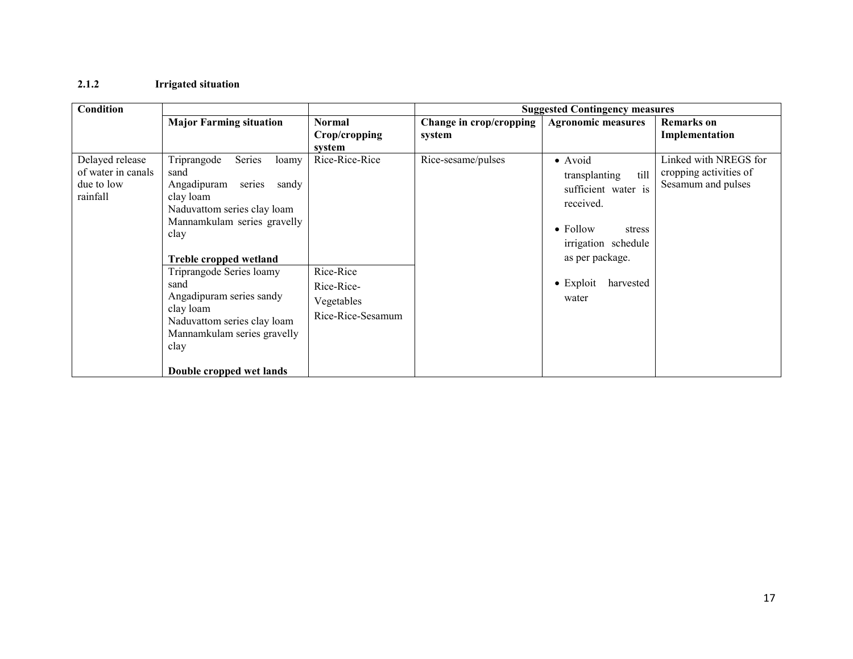#### 2.1.2 Irrigated situation

| Condition                                                       |                                                                                                                                                                                                       |                                                            | <b>Suggested Contingency measures</b> |                                                                                                                           |                                                                       |
|-----------------------------------------------------------------|-------------------------------------------------------------------------------------------------------------------------------------------------------------------------------------------------------|------------------------------------------------------------|---------------------------------------|---------------------------------------------------------------------------------------------------------------------------|-----------------------------------------------------------------------|
|                                                                 | <b>Major Farming situation</b>                                                                                                                                                                        | <b>Normal</b>                                              | Change in crop/cropping               | <b>Agronomic measures</b>                                                                                                 | <b>Remarks</b> on                                                     |
|                                                                 |                                                                                                                                                                                                       | Crop/cropping                                              | system                                |                                                                                                                           | Implementation                                                        |
| Delayed release<br>of water in canals<br>due to low<br>rainfall | Series<br>Triprangode<br>loamy<br>sand<br>Angadipuram<br>series<br>sandy<br>clay loam<br>Naduvattom series clay loam<br>Mannamkulam series gravelly<br>clay                                           | system<br>Rice-Rice-Rice                                   | Rice-sesame/pulses                    | • Avoid<br>till<br>transplanting<br>sufficient water is<br>received.<br>$\bullet$ Follow<br>stress<br>irrigation schedule | Linked with NREGS for<br>cropping activities of<br>Sesamum and pulses |
|                                                                 | Treble cropped wetland<br>Triprangode Series loamy<br>sand<br>Angadipuram series sandy<br>clay loam<br>Naduvattom series clay loam<br>Mannamkulam series gravelly<br>clay<br>Double cropped wet lands | Rice-Rice<br>Rice-Rice-<br>Vegetables<br>Rice-Rice-Sesamum |                                       | as per package.<br>$\bullet$ Exploit<br>harvested<br>water                                                                |                                                                       |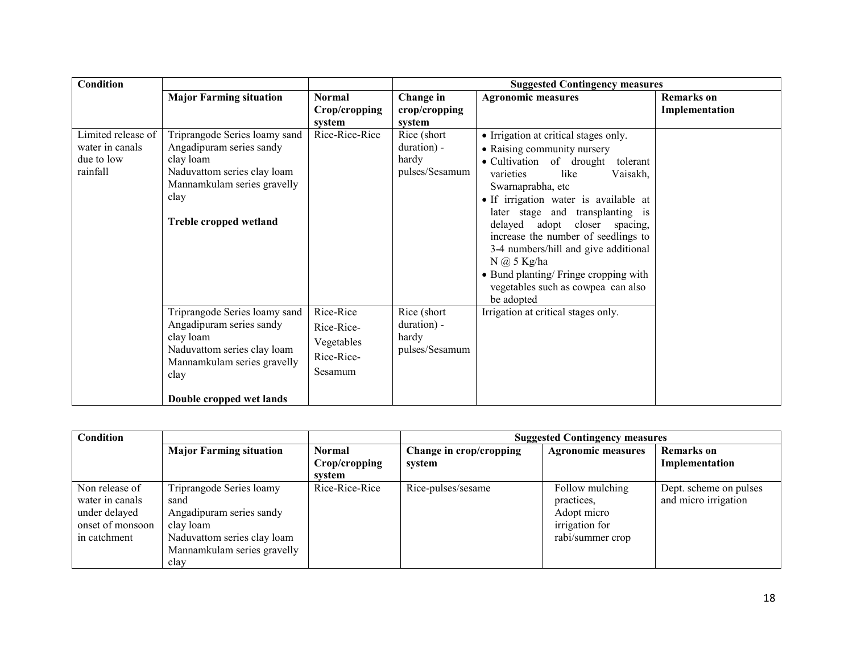| <b>Condition</b>                                                |                                                                                                                                                                          |                                                                | <b>Suggested Contingency measures</b>                  |                                                                                                                                                                                                                                                                                                                                                                                                                                                                                 |                                     |  |
|-----------------------------------------------------------------|--------------------------------------------------------------------------------------------------------------------------------------------------------------------------|----------------------------------------------------------------|--------------------------------------------------------|---------------------------------------------------------------------------------------------------------------------------------------------------------------------------------------------------------------------------------------------------------------------------------------------------------------------------------------------------------------------------------------------------------------------------------------------------------------------------------|-------------------------------------|--|
|                                                                 | <b>Major Farming situation</b>                                                                                                                                           | <b>Normal</b><br>Crop/cropping<br>system                       | Change in<br>crop/cropping<br>system                   | <b>Agronomic measures</b>                                                                                                                                                                                                                                                                                                                                                                                                                                                       | <b>Remarks</b> on<br>Implementation |  |
| Limited release of<br>water in canals<br>due to low<br>rainfall | Triprangode Series loamy sand<br>Angadipuram series sandy<br>clay loam<br>Naduvattom series clay loam<br>Mannamkulam series gravelly<br>clay<br>Treble cropped wetland   | Rice-Rice-Rice                                                 | Rice (short)<br>duration) -<br>hardy<br>pulses/Sesamum | • Irrigation at critical stages only.<br>• Raising community nursery<br>• Cultivation of drought<br>tolerant<br>varieties<br>like<br>Vaisakh,<br>Swarnaprabha, etc<br>• If irrigation water is available at<br>later stage and transplanting is<br>delayed adopt closer spacing,<br>increase the number of seedlings to<br>3-4 numbers/hill and give additional<br>$N$ (a) 5 Kg/ha<br>• Bund planting/ Fringe cropping with<br>vegetables such as cowpea can also<br>be adopted |                                     |  |
|                                                                 | Triprangode Series loamy sand<br>Angadipuram series sandy<br>clay loam<br>Naduvattom series clay loam<br>Mannamkulam series gravelly<br>clay<br>Double cropped wet lands | Rice-Rice<br>Rice-Rice-<br>Vegetables<br>Rice-Rice-<br>Sesamum | Rice (short)<br>duration) -<br>hardy<br>pulses/Sesamum | Irrigation at critical stages only.                                                                                                                                                                                                                                                                                                                                                                                                                                             |                                     |  |

| <b>Condition</b> |                                |                |                         | <b>Suggested Contingency measures</b> |                        |  |
|------------------|--------------------------------|----------------|-------------------------|---------------------------------------|------------------------|--|
|                  | <b>Major Farming situation</b> | <b>Normal</b>  | Change in crop/cropping | <b>Agronomic measures</b>             | <b>Remarks</b> on      |  |
|                  |                                | Crop/cropping  | system                  |                                       | Implementation         |  |
|                  |                                | svstem         |                         |                                       |                        |  |
| Non release of   | Triprangode Series loamy       | Rice-Rice-Rice | Rice-pulses/sesame      | Follow mulching                       | Dept. scheme on pulses |  |
| water in canals  | sand                           |                |                         | practices,                            | and micro irrigation   |  |
| under delayed    | Angadipuram series sandy       |                |                         | Adopt micro                           |                        |  |
| onset of monsoon | clay loam                      |                |                         | irrigation for                        |                        |  |
| in catchment     | Naduvattom series clay loam    |                |                         | rabi/summer crop                      |                        |  |
|                  | Mannamkulam series gravelly    |                |                         |                                       |                        |  |
|                  | clay                           |                |                         |                                       |                        |  |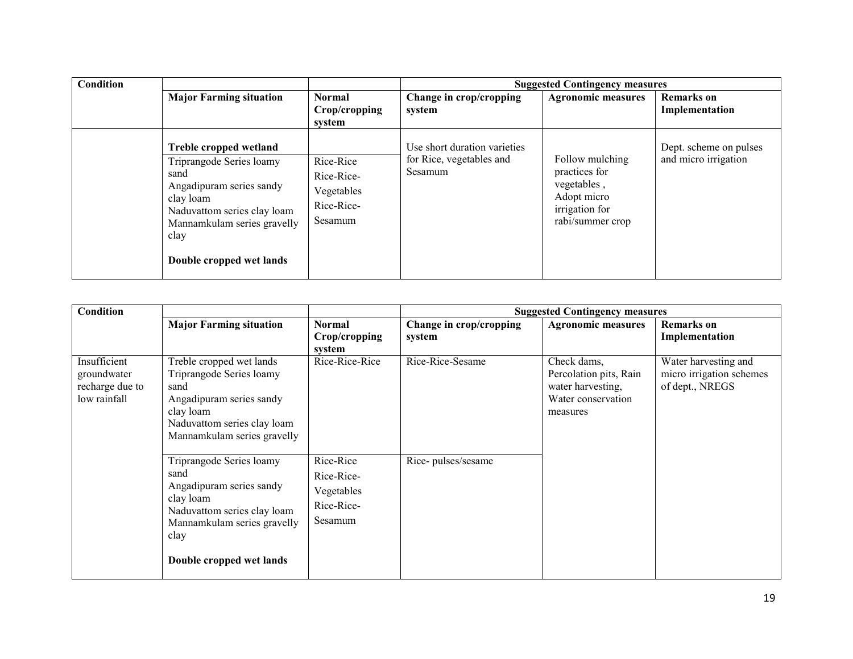| Condition |                                                                                                                                                                                                       |                                                                |                                                                     | <b>Suggested Contingency measures</b>                                                                |                                                |
|-----------|-------------------------------------------------------------------------------------------------------------------------------------------------------------------------------------------------------|----------------------------------------------------------------|---------------------------------------------------------------------|------------------------------------------------------------------------------------------------------|------------------------------------------------|
|           | <b>Major Farming situation</b>                                                                                                                                                                        | <b>Normal</b><br>Crop/cropping<br>system                       | Change in crop/cropping<br>system                                   | <b>Agronomic measures</b>                                                                            | <b>Remarks</b> on<br>Implementation            |
|           | Treble cropped wetland<br>Triprangode Series loamy<br>sand<br>Angadipuram series sandy<br>clay loam<br>Naduvattom series clay loam<br>Mannamkulam series gravelly<br>clay<br>Double cropped wet lands | Rice-Rice<br>Rice-Rice-<br>Vegetables<br>Rice-Rice-<br>Sesamum | Use short duration varieties<br>for Rice, vegetables and<br>Sesamum | Follow mulching<br>practices for<br>vegetables,<br>Adopt micro<br>irrigation for<br>rabi/summer crop | Dept. scheme on pulses<br>and micro irrigation |

| Condition                                                      |                                                                                                                                                                             |                                                                |                                   | <b>Suggested Contingency measures</b>                                                        |                                                                     |
|----------------------------------------------------------------|-----------------------------------------------------------------------------------------------------------------------------------------------------------------------------|----------------------------------------------------------------|-----------------------------------|----------------------------------------------------------------------------------------------|---------------------------------------------------------------------|
|                                                                | <b>Major Farming situation</b>                                                                                                                                              | <b>Normal</b><br>Crop/cropping<br>system                       | Change in crop/cropping<br>system | <b>Agronomic measures</b>                                                                    | <b>Remarks</b> on<br>Implementation                                 |
| Insufficient<br>groundwater<br>recharge due to<br>low rainfall | Treble cropped wet lands<br>Triprangode Series loamy<br>sand<br>Angadipuram series sandy<br>clay loam<br>Naduvattom series clay loam<br>Mannamkulam series gravelly         | Rice-Rice-Rice                                                 | Rice-Rice-Sesame                  | Check dams,<br>Percolation pits, Rain<br>water harvesting,<br>Water conservation<br>measures | Water harvesting and<br>micro irrigation schemes<br>of dept., NREGS |
|                                                                | Triprangode Series loamy<br>sand<br>Angadipuram series sandy<br>clay loam<br>Naduvattom series clay loam<br>Mannamkulam series gravelly<br>clay<br>Double cropped wet lands | Rice-Rice<br>Rice-Rice-<br>Vegetables<br>Rice-Rice-<br>Sesamum | Rice-pulses/sesame                |                                                                                              |                                                                     |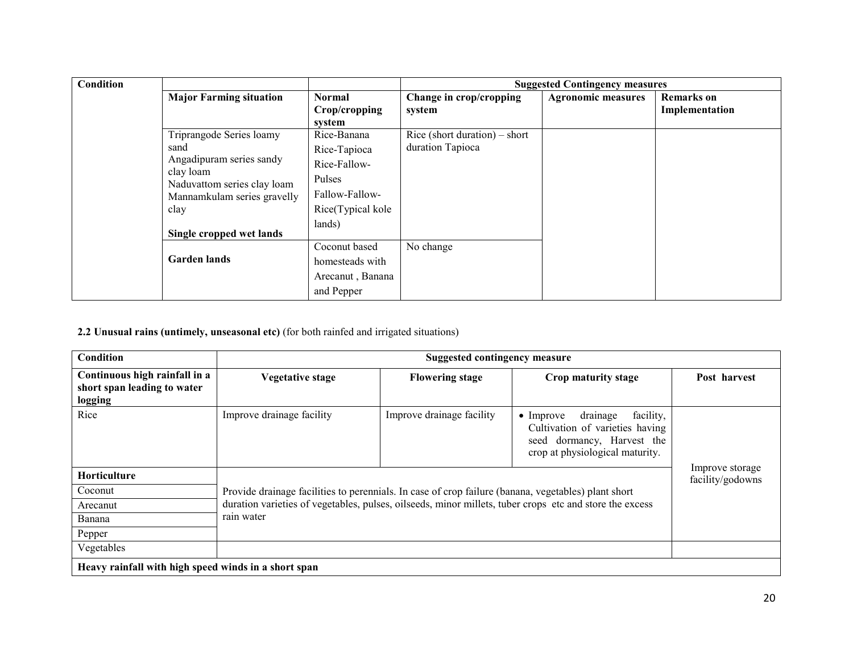| <b>Condition</b>                                                             |                                |                   |                               | <b>Suggested Contingency measures</b> |                   |
|------------------------------------------------------------------------------|--------------------------------|-------------------|-------------------------------|---------------------------------------|-------------------|
|                                                                              | <b>Major Farming situation</b> | <b>Normal</b>     | Change in crop/cropping       | <b>Agronomic measures</b>             | <b>Remarks</b> on |
|                                                                              |                                | Crop/cropping     | system                        |                                       | Implementation    |
|                                                                              |                                | system            |                               |                                       |                   |
|                                                                              | Triprangode Series loamy       | Rice-Banana       | Rice (short duration) – short |                                       |                   |
| sand<br>Angadipuram series sandy<br>clay loam<br>Naduvattom series clay loam |                                | Rice-Tapioca      | duration Tapioca              |                                       |                   |
|                                                                              |                                | Rice-Fallow-      |                               |                                       |                   |
|                                                                              |                                | Pulses            |                               |                                       |                   |
|                                                                              | Mannamkulam series gravelly    | Fallow-Fallow-    |                               |                                       |                   |
|                                                                              | clay                           | Rice(Typical kole |                               |                                       |                   |
|                                                                              | Single cropped wet lands       | lands)            |                               |                                       |                   |
|                                                                              |                                | Coconut based     | No change                     |                                       |                   |
|                                                                              | <b>Garden lands</b>            | homesteads with   |                               |                                       |                   |
|                                                                              |                                | Arecanut, Banana  |                               |                                       |                   |
|                                                                              |                                | and Pepper        |                               |                                       |                   |

## 2.2 Unusual rains (untimely, unseasonal etc) (for both rainfed and irrigated situations)

| <b>Condition</b>                                                        | <b>Suggested contingency measure</b>                                                                    |                           |                                                                                                                                                |                                     |  |  |
|-------------------------------------------------------------------------|---------------------------------------------------------------------------------------------------------|---------------------------|------------------------------------------------------------------------------------------------------------------------------------------------|-------------------------------------|--|--|
| Continuous high rainfall in a<br>short span leading to water<br>logging | Vegetative stage                                                                                        | <b>Flowering stage</b>    | Crop maturity stage                                                                                                                            | Post harvest                        |  |  |
| Rice                                                                    | Improve drainage facility                                                                               | Improve drainage facility | drainage<br>facility,<br>$\bullet$ Improve<br>Cultivation of varieties having<br>seed dormancy, Harvest the<br>crop at physiological maturity. |                                     |  |  |
| <b>Horticulture</b>                                                     |                                                                                                         |                           |                                                                                                                                                | Improve storage<br>facility/godowns |  |  |
| Coconut                                                                 | Provide drainage facilities to perennials. In case of crop failure (banana, vegetables) plant short     |                           |                                                                                                                                                |                                     |  |  |
| Arecanut                                                                | duration varieties of vegetables, pulses, oilseeds, minor millets, tuber crops etc and store the excess |                           |                                                                                                                                                |                                     |  |  |
| Banana                                                                  | rain water                                                                                              |                           |                                                                                                                                                |                                     |  |  |
| Pepper                                                                  |                                                                                                         |                           |                                                                                                                                                |                                     |  |  |
| Vegetables                                                              |                                                                                                         |                           |                                                                                                                                                |                                     |  |  |
| Heavy rainfall with high speed winds in a short span                    |                                                                                                         |                           |                                                                                                                                                |                                     |  |  |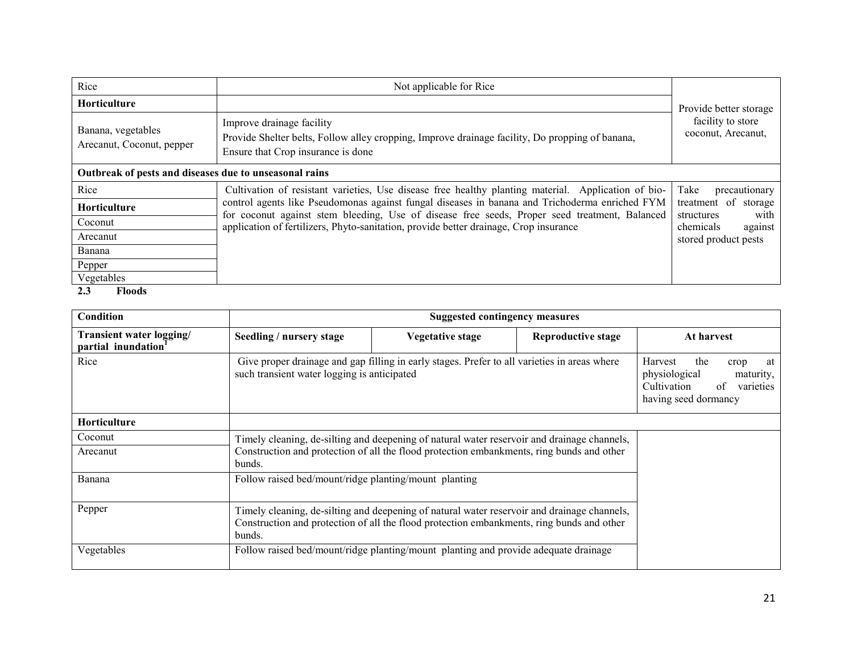| Rice                                                   | Not applicable for Rice                                                                                                                                                                         |                                            |
|--------------------------------------------------------|-------------------------------------------------------------------------------------------------------------------------------------------------------------------------------------------------|--------------------------------------------|
| <b>Horticulture</b>                                    |                                                                                                                                                                                                 | Provide better storage                     |
| Banana, vegetables<br>Arecanut, Coconut, pepper        | Improve drainage facility<br>Provide Shelter belts, Follow alley cropping, Improve drainage facility, Do propping of banana,<br>Ensure that Crop insurance is done                              | facility to store<br>coconut, Arecanut,    |
| Outbreak of pests and diseases due to unseasonal rains |                                                                                                                                                                                                 |                                            |
| Rice                                                   | Cultivation of resistant varieties, Use disease free healthy planting material. Application of bio-                                                                                             | Take<br>precautionary                      |
| Horticulture                                           | control agents like Pseudomonas against fungal diseases in banana and Trichoderma enriched FYM<br>for coconut against stem bleeding, Use of disease free seeds, Proper seed treatment, Balanced | treatment of storage<br>with<br>structures |
| Coconut                                                | application of fertilizers, Phyto-sanitation, provide better drainage, Crop insurance                                                                                                           | chemicals<br>against                       |
| Arecanut                                               |                                                                                                                                                                                                 | stored product pests                       |
| Banana                                                 |                                                                                                                                                                                                 |                                            |
| Pepper                                                 |                                                                                                                                                                                                 |                                            |
| Vegetables                                             |                                                                                                                                                                                                 |                                            |
| 2.3<br>Floods                                          |                                                                                                                                                                                                 |                                            |

| Condition                                                   |                                                                                                                                                                                                    | <b>Suggested contingency measures</b>                                                                                        |                           |            |  |  |  |  |
|-------------------------------------------------------------|----------------------------------------------------------------------------------------------------------------------------------------------------------------------------------------------------|------------------------------------------------------------------------------------------------------------------------------|---------------------------|------------|--|--|--|--|
| Transient water logging/<br>partial inundation <sup>1</sup> | Seedling / nursery stage                                                                                                                                                                           | Vegetative stage                                                                                                             | <b>Reproductive stage</b> | At harvest |  |  |  |  |
| Rice                                                        | Give proper drainage and gap filling in early stages. Prefer to all varieties in areas where<br>such transient water logging is anticipated                                                        | Harvest<br>the<br>crop<br>at<br>physiological<br>maturity,<br>Cultivation<br>$\sigma$ f<br>varieties<br>having seed dormancy |                           |            |  |  |  |  |
| <b>Horticulture</b>                                         |                                                                                                                                                                                                    |                                                                                                                              |                           |            |  |  |  |  |
| Coconut                                                     | Timely cleaning, de-silting and deepening of natural water reservoir and drainage channels,                                                                                                        |                                                                                                                              |                           |            |  |  |  |  |
| Arecanut                                                    | Construction and protection of all the flood protection embankments, ring bunds and other<br>bunds.                                                                                                |                                                                                                                              |                           |            |  |  |  |  |
| Banana                                                      | Follow raised bed/mount/ridge planting/mount planting                                                                                                                                              |                                                                                                                              |                           |            |  |  |  |  |
| Pepper                                                      | Timely cleaning, de-silting and deepening of natural water reservoir and drainage channels,<br>Construction and protection of all the flood protection embankments, ring bunds and other<br>bunds. |                                                                                                                              |                           |            |  |  |  |  |
| Vegetables                                                  | Follow raised bed/mount/ridge planting/mount planting and provide adequate drainage                                                                                                                |                                                                                                                              |                           |            |  |  |  |  |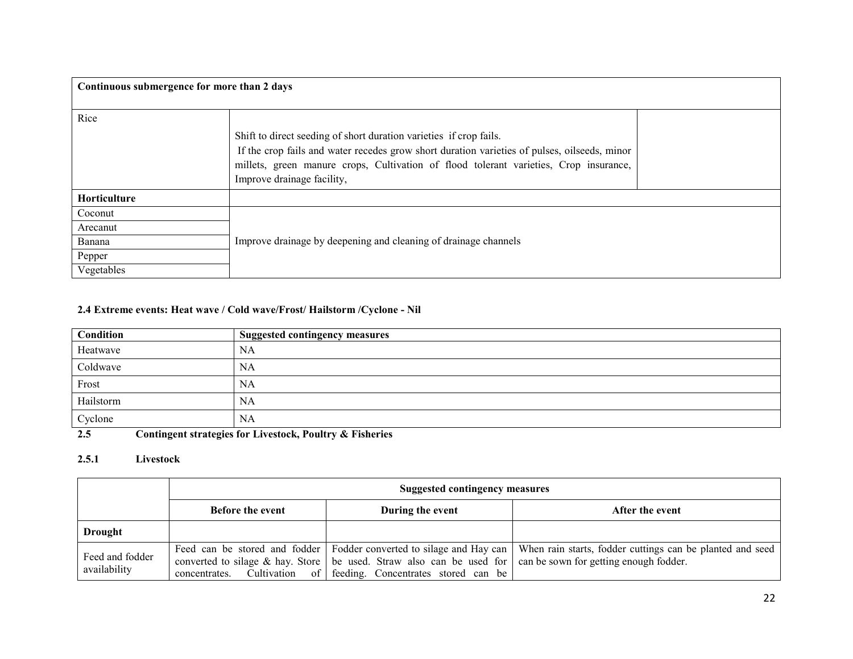| Continuous submergence for more than 2 days |                                                                                                                                                                                                                                                                                           |  |  |  |
|---------------------------------------------|-------------------------------------------------------------------------------------------------------------------------------------------------------------------------------------------------------------------------------------------------------------------------------------------|--|--|--|
| Rice                                        | Shift to direct seeding of short duration varieties if crop fails.<br>If the crop fails and water recedes grow short duration varieties of pulses, oilseeds, minor<br>millets, green manure crops, Cultivation of flood tolerant varieties, Crop insurance,<br>Improve drainage facility, |  |  |  |
| Horticulture                                |                                                                                                                                                                                                                                                                                           |  |  |  |
| Coconut                                     |                                                                                                                                                                                                                                                                                           |  |  |  |
| Arecanut                                    |                                                                                                                                                                                                                                                                                           |  |  |  |
| Banana                                      | Improve drainage by deepening and cleaning of drainage channels                                                                                                                                                                                                                           |  |  |  |
| Pepper                                      |                                                                                                                                                                                                                                                                                           |  |  |  |
| Vegetables                                  |                                                                                                                                                                                                                                                                                           |  |  |  |

## 2.4 Extreme events: Heat wave / Cold wave/Frost/ Hailstorm /Cyclone - Nil

| <b>Suggested contingency measures</b> |
|---------------------------------------|
| NA                                    |
| NA                                    |
| <b>NA</b>                             |
| NA                                    |
| <b>NA</b>                             |
|                                       |

2.5Contingent strategies for Livestock, Poultry & Fisheries

#### 2.5.1 Livestock

|                                 | <b>Suggested contingency measures</b>       |                                                                                                                                                                                     |                                                                                                                                    |  |
|---------------------------------|---------------------------------------------|-------------------------------------------------------------------------------------------------------------------------------------------------------------------------------------|------------------------------------------------------------------------------------------------------------------------------------|--|
|                                 | <b>Before the event</b><br>During the event |                                                                                                                                                                                     | After the event                                                                                                                    |  |
| Drought                         |                                             |                                                                                                                                                                                     |                                                                                                                                    |  |
| Feed and fodder<br>availability |                                             | converted to silage & hay. Store   be used. Straw also can be used for   can be sown for getting enough fodder.<br>concentrates. Cultivation of feeding. Concentrates stored can be | Feed can be stored and fodder   Fodder converted to silage and Hay can   When rain starts, fodder cuttings can be planted and seed |  |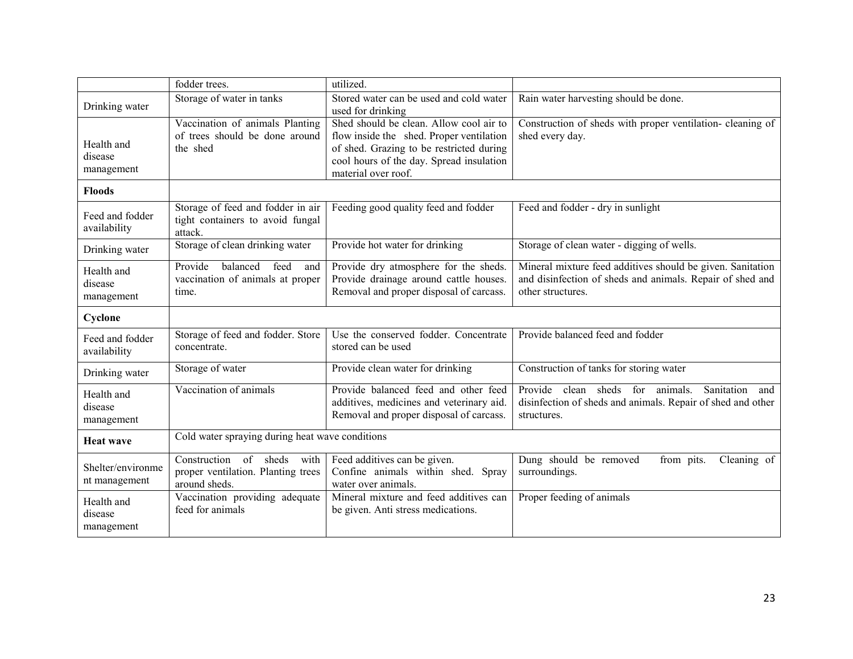|                                     | fodder trees.                                                                        | utilized.                                                                                                                                                                                          |                                                                                                                                              |
|-------------------------------------|--------------------------------------------------------------------------------------|----------------------------------------------------------------------------------------------------------------------------------------------------------------------------------------------------|----------------------------------------------------------------------------------------------------------------------------------------------|
| Drinking water                      | Storage of water in tanks                                                            | Stored water can be used and cold water<br>used for drinking                                                                                                                                       | Rain water harvesting should be done.                                                                                                        |
| Health and<br>disease<br>management | Vaccination of animals Planting<br>of trees should be done around<br>the shed        | Shed should be clean. Allow cool air to<br>flow inside the shed. Proper ventilation<br>of shed. Grazing to be restricted during<br>cool hours of the day. Spread insulation<br>material over roof. | Construction of sheds with proper ventilation- cleaning of<br>shed every day.                                                                |
| <b>Floods</b>                       |                                                                                      |                                                                                                                                                                                                    |                                                                                                                                              |
| Feed and fodder<br>availability     | Storage of feed and fodder in air<br>tight containers to avoid fungal<br>attack.     | Feeding good quality feed and fodder                                                                                                                                                               | Feed and fodder - dry in sunlight                                                                                                            |
| Drinking water                      | Storage of clean drinking water                                                      | Provide hot water for drinking                                                                                                                                                                     | Storage of clean water - digging of wells.                                                                                                   |
| Health and<br>disease<br>management | Provide<br>balanced<br>feed<br>and<br>vaccination of animals at proper<br>time.      | Provide dry atmosphere for the sheds.<br>Provide drainage around cattle houses.<br>Removal and proper disposal of carcass.                                                                         | Mineral mixture feed additives should be given. Sanitation<br>and disinfection of sheds and animals. Repair of shed and<br>other structures. |
| Cyclone                             |                                                                                      |                                                                                                                                                                                                    |                                                                                                                                              |
| Feed and fodder<br>availability     | Storage of feed and fodder. Store<br>concentrate.                                    | Use the conserved fodder. Concentrate<br>stored can be used                                                                                                                                        | Provide balanced feed and fodder                                                                                                             |
| Drinking water                      | Storage of water                                                                     | Provide clean water for drinking                                                                                                                                                                   | Construction of tanks for storing water                                                                                                      |
| Health and<br>disease<br>management | Vaccination of animals                                                               | Provide balanced feed and other feed<br>additives, medicines and veterinary aid.<br>Removal and proper disposal of carcass.                                                                        | Provide clean sheds<br>Sanitation<br>for animals.<br>and<br>disinfection of sheds and animals. Repair of shed and other<br>structures.       |
| <b>Heat wave</b>                    | Cold water spraying during heat wave conditions                                      |                                                                                                                                                                                                    |                                                                                                                                              |
| Shelter/environme<br>nt management  | Construction of sheds<br>with<br>proper ventilation. Planting trees<br>around sheds. | Feed additives can be given.<br>Confine animals within shed. Spray<br>water over animals.                                                                                                          | Dung should be removed<br>from pits.<br>Cleaning of<br>surroundings.                                                                         |
| Health and<br>disease<br>management | Vaccination providing adequate<br>feed for animals                                   | Mineral mixture and feed additives can<br>be given. Anti stress medications.                                                                                                                       | Proper feeding of animals                                                                                                                    |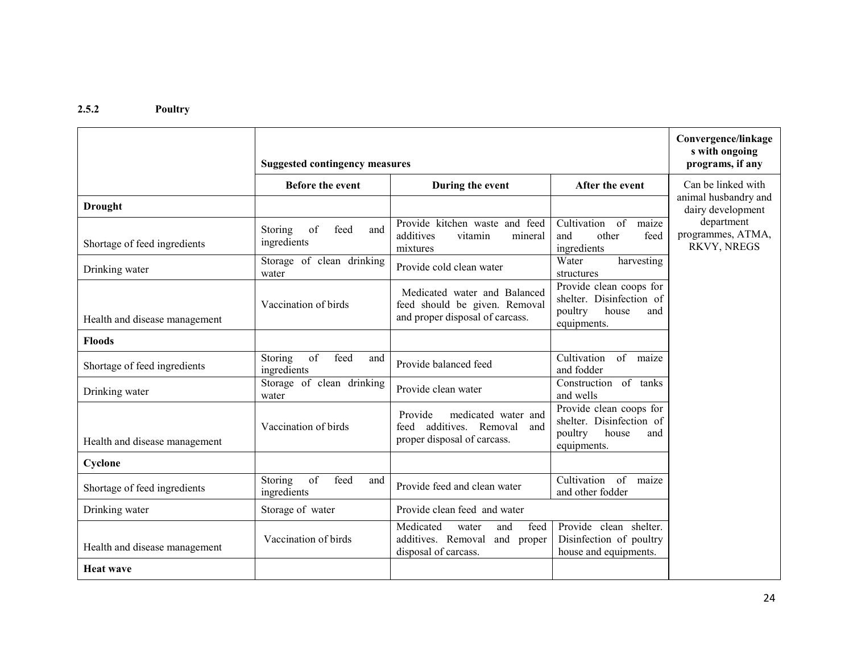#### 2.5.2 Poultry

|                               | <b>Suggested contingency measures</b>                           | Convergence/linkage<br>s with ongoing<br>programs, if any                                        |                                                                                               |                                                |
|-------------------------------|-----------------------------------------------------------------|--------------------------------------------------------------------------------------------------|-----------------------------------------------------------------------------------------------|------------------------------------------------|
|                               | <b>Before the event</b>                                         | During the event                                                                                 | After the event                                                                               | Can be linked with                             |
| <b>Drought</b>                |                                                                 |                                                                                                  |                                                                                               | animal husbandry and<br>dairy development      |
| Shortage of feed ingredients  | of<br>Storing<br>feed<br>and<br>ingredients                     | Provide kitchen waste and feed<br>additives<br>vitamin<br>mineral<br>mixtures                    | Cultivation<br>of<br>maize<br>other<br>feed<br>and<br>ingredients                             | department<br>programmes, ATMA,<br>RKVY, NREGS |
| Drinking water                | Storage of clean drinking<br>water                              | Provide cold clean water                                                                         | Water<br>harvesting<br>structures                                                             |                                                |
| Health and disease management | Vaccination of birds                                            | Medicated water and Balanced<br>feed should be given. Removal<br>and proper disposal of carcass. | Provide clean coops for<br>shelter. Disinfection of<br>poultry<br>house<br>and<br>equipments. |                                                |
| <b>Floods</b>                 |                                                                 |                                                                                                  |                                                                                               |                                                |
| Shortage of feed ingredients  | of<br>feed<br>Storing<br>and<br>ingredients                     | Provide balanced feed                                                                            | Cultivation<br>of<br>maize<br>and fodder                                                      |                                                |
| Drinking water                | Storage of clean drinking<br>water                              | Provide clean water                                                                              | Construction of tanks<br>and wells                                                            |                                                |
| Health and disease management | Vaccination of birds                                            | Provide<br>medicated water and<br>additives. Removal and<br>feed<br>proper disposal of carcass.  | Provide clean coops for<br>shelter. Disinfection of<br>poultry<br>house<br>and<br>equipments. |                                                |
| Cyclone                       |                                                                 |                                                                                                  |                                                                                               |                                                |
| Shortage of feed ingredients  | $\overline{\text{of}}$<br>feed<br>Storing<br>and<br>ingredients | Provide feed and clean water                                                                     | Cultivation<br>$\overline{\text{of}}$<br>maize<br>and other fodder                            |                                                |
| Drinking water                | Storage of water                                                | Provide clean feed and water                                                                     |                                                                                               |                                                |
| Health and disease management | Vaccination of birds                                            | Medicated<br>and<br>feed<br>water<br>additives. Removal<br>and<br>proper<br>disposal of carcass. | Provide clean shelter.<br>Disinfection of poultry<br>house and equipments.                    |                                                |
| <b>Heat wave</b>              |                                                                 |                                                                                                  |                                                                                               |                                                |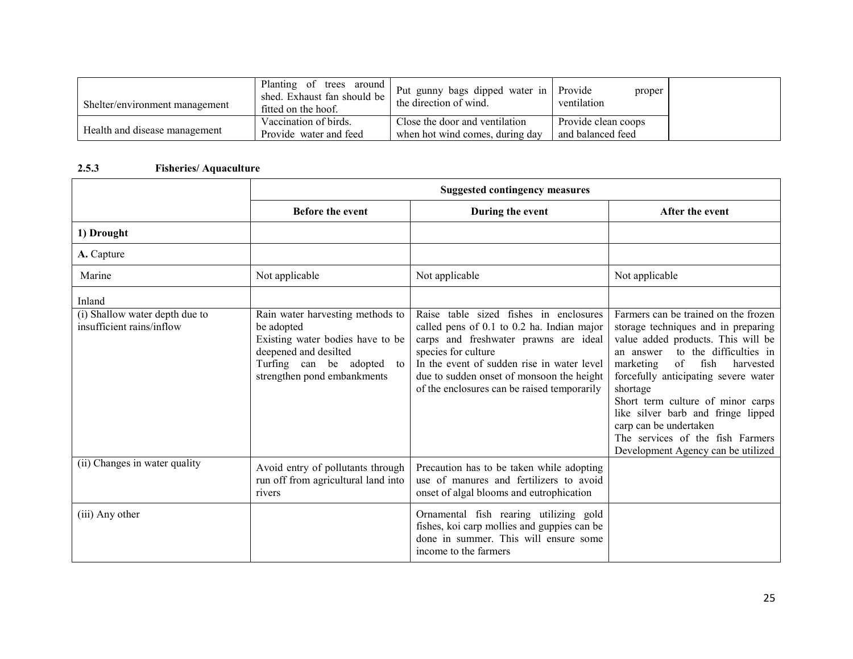| Shelter/environment management | Planting of trees around<br>shed. Exhaust fan should be<br>fitted on the hoof. | Put gunny bags dipped water in Provide<br>the direction of wind. | proper<br>ventilation |
|--------------------------------|--------------------------------------------------------------------------------|------------------------------------------------------------------|-----------------------|
|                                | Vaccination of birds.                                                          | Close the door and ventilation                                   | Provide clean coops   |
| Health and disease management  | Provide water and feed                                                         | when hot wind comes, during day                                  | and balanced feed     |

## 2.5.3 Fisheries/ Aquaculture

|                                                             | <b>Suggested contingency measures</b>                                                                                                                                   |                                                                                                                                                                                                                                                                                                |                                                                                                                                                                                                                                                                                                                                                                                                                                     |
|-------------------------------------------------------------|-------------------------------------------------------------------------------------------------------------------------------------------------------------------------|------------------------------------------------------------------------------------------------------------------------------------------------------------------------------------------------------------------------------------------------------------------------------------------------|-------------------------------------------------------------------------------------------------------------------------------------------------------------------------------------------------------------------------------------------------------------------------------------------------------------------------------------------------------------------------------------------------------------------------------------|
|                                                             | <b>Before the event</b>                                                                                                                                                 | During the event                                                                                                                                                                                                                                                                               | After the event                                                                                                                                                                                                                                                                                                                                                                                                                     |
| 1) Drought                                                  |                                                                                                                                                                         |                                                                                                                                                                                                                                                                                                |                                                                                                                                                                                                                                                                                                                                                                                                                                     |
| A. Capture                                                  |                                                                                                                                                                         |                                                                                                                                                                                                                                                                                                |                                                                                                                                                                                                                                                                                                                                                                                                                                     |
| Marine                                                      | Not applicable                                                                                                                                                          | Not applicable                                                                                                                                                                                                                                                                                 | Not applicable                                                                                                                                                                                                                                                                                                                                                                                                                      |
| Inland                                                      |                                                                                                                                                                         |                                                                                                                                                                                                                                                                                                |                                                                                                                                                                                                                                                                                                                                                                                                                                     |
| (i) Shallow water depth due to<br>insufficient rains/inflow | Rain water harvesting methods to<br>be adopted<br>Existing water bodies have to be<br>deepened and desilted<br>Turfing can be adopted to<br>strengthen pond embankments | Raise table sized fishes in enclosures<br>called pens of 0.1 to 0.2 ha. Indian major<br>carps and freshwater prawns are ideal<br>species for culture<br>In the event of sudden rise in water level<br>due to sudden onset of monsoon the height<br>of the enclosures can be raised temporarily | Farmers can be trained on the frozen<br>storage techniques and in preparing<br>value added products. This will be<br>to the difficulties in<br>an answer<br>of<br>fish<br>marketing<br>harvested<br>forcefully anticipating severe water<br>shortage<br>Short term culture of minor carps<br>like silver barb and fringe lipped<br>carp can be undertaken<br>The services of the fish Farmers<br>Development Agency can be utilized |
| (ii) Changes in water quality                               | Avoid entry of pollutants through<br>run off from agricultural land into<br>rivers                                                                                      | Precaution has to be taken while adopting<br>use of manures and fertilizers to avoid<br>onset of algal blooms and eutrophication                                                                                                                                                               |                                                                                                                                                                                                                                                                                                                                                                                                                                     |
| (iii) Any other                                             |                                                                                                                                                                         | Ornamental fish rearing utilizing gold<br>fishes, koi carp mollies and guppies can be<br>done in summer. This will ensure some<br>income to the farmers                                                                                                                                        |                                                                                                                                                                                                                                                                                                                                                                                                                                     |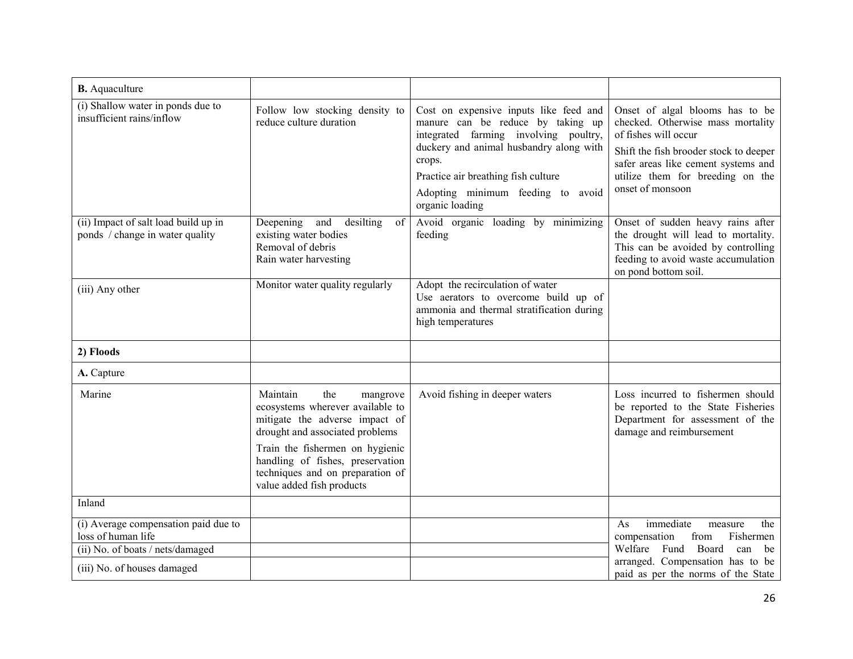| <b>B.</b> Aquaculture                                                                          |                                                                                                                                                                                                                                                                              |                                                                                                                                                                                                                                                                          |                                                                                                                                                                                                                                       |
|------------------------------------------------------------------------------------------------|------------------------------------------------------------------------------------------------------------------------------------------------------------------------------------------------------------------------------------------------------------------------------|--------------------------------------------------------------------------------------------------------------------------------------------------------------------------------------------------------------------------------------------------------------------------|---------------------------------------------------------------------------------------------------------------------------------------------------------------------------------------------------------------------------------------|
| (i) Shallow water in ponds due to<br>insufficient rains/inflow                                 | Follow low stocking density to<br>reduce culture duration                                                                                                                                                                                                                    | Cost on expensive inputs like feed and<br>manure can be reduce by taking up<br>integrated farming involving poultry,<br>duckery and animal husbandry along with<br>crops.<br>Practice air breathing fish culture<br>Adopting minimum feeding to avoid<br>organic loading | Onset of algal blooms has to be<br>checked. Otherwise mass mortality<br>of fishes will occur<br>Shift the fish brooder stock to deeper<br>safer areas like cement systems and<br>utilize them for breeding on the<br>onset of monsoon |
| (ii) Impact of salt load build up in<br>ponds / change in water quality                        | Deepening<br>and<br>desilting<br>of<br>existing water bodies<br>Removal of debris<br>Rain water harvesting                                                                                                                                                                   | Avoid organic loading by minimizing<br>feeding                                                                                                                                                                                                                           | Onset of sudden heavy rains after<br>the drought will lead to mortality.<br>This can be avoided by controlling<br>feeding to avoid waste accumulation<br>on pond bottom soil.                                                         |
| (iii) Any other                                                                                | Monitor water quality regularly                                                                                                                                                                                                                                              | Adopt the recirculation of water<br>Use aerators to overcome build up of<br>ammonia and thermal stratification during<br>high temperatures                                                                                                                               |                                                                                                                                                                                                                                       |
| 2) Floods                                                                                      |                                                                                                                                                                                                                                                                              |                                                                                                                                                                                                                                                                          |                                                                                                                                                                                                                                       |
| A. Capture                                                                                     |                                                                                                                                                                                                                                                                              |                                                                                                                                                                                                                                                                          |                                                                                                                                                                                                                                       |
| Marine                                                                                         | Maintain<br>the<br>mangrove<br>ecosystems wherever available to<br>mitigate the adverse impact of<br>drought and associated problems<br>Train the fishermen on hygienic<br>handling of fishes, preservation<br>techniques and on preparation of<br>value added fish products | Avoid fishing in deeper waters                                                                                                                                                                                                                                           | Loss incurred to fishermen should<br>be reported to the State Fisheries<br>Department for assessment of the<br>damage and reimbursement                                                                                               |
| Inland                                                                                         |                                                                                                                                                                                                                                                                              |                                                                                                                                                                                                                                                                          |                                                                                                                                                                                                                                       |
| (i) Average compensation paid due to<br>loss of human life<br>(ii) No. of boats / nets/damaged |                                                                                                                                                                                                                                                                              |                                                                                                                                                                                                                                                                          | immediate<br>the<br>As<br>measure<br>compensation<br>from<br>Fishermen<br>Welfare<br>Fund Board<br>can<br>be<br>arranged. Compensation has to be                                                                                      |
| (iii) No. of houses damaged                                                                    |                                                                                                                                                                                                                                                                              |                                                                                                                                                                                                                                                                          | paid as per the norms of the State                                                                                                                                                                                                    |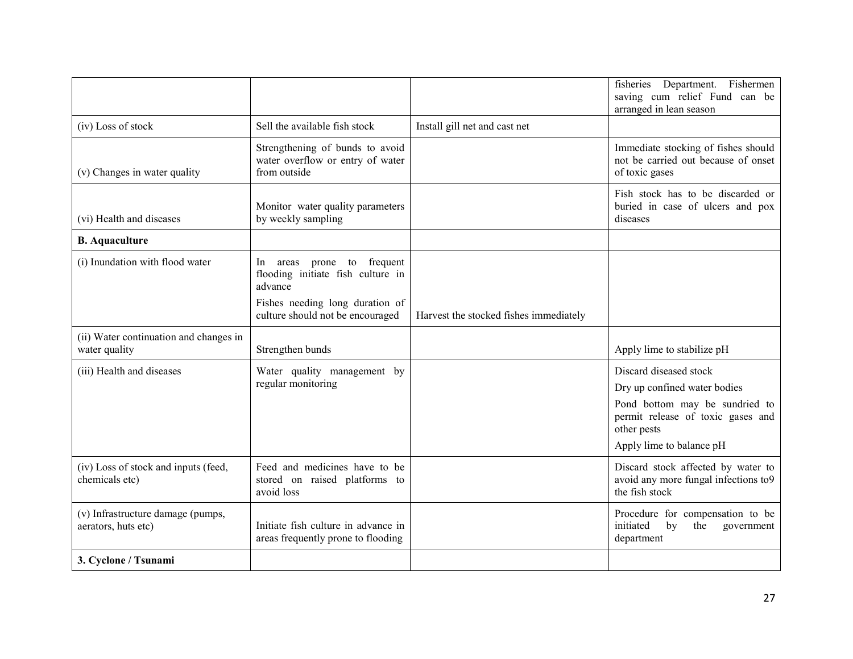|                                                          |                                                                                     |                                        | fisheries Department. Fishermen<br>saving cum relief Fund can be<br>arranged in lean season                                                                              |
|----------------------------------------------------------|-------------------------------------------------------------------------------------|----------------------------------------|--------------------------------------------------------------------------------------------------------------------------------------------------------------------------|
| (iv) Loss of stock                                       | Sell the available fish stock                                                       | Install gill net and cast net          |                                                                                                                                                                          |
| (v) Changes in water quality                             | Strengthening of bunds to avoid<br>water overflow or entry of water<br>from outside |                                        | Immediate stocking of fishes should<br>not be carried out because of onset<br>of toxic gases                                                                             |
| (vi) Health and diseases                                 | Monitor water quality parameters<br>by weekly sampling                              |                                        | Fish stock has to be discarded or<br>buried in case of ulcers and pox<br>diseases                                                                                        |
| <b>B.</b> Aquaculture                                    |                                                                                     |                                        |                                                                                                                                                                          |
| (i) Inundation with flood water                          | areas prone to frequent<br>ln –<br>flooding initiate fish culture in<br>advance     |                                        |                                                                                                                                                                          |
|                                                          | Fishes needing long duration of<br>culture should not be encouraged                 | Harvest the stocked fishes immediately |                                                                                                                                                                          |
| (ii) Water continuation and changes in<br>water quality  | Strengthen bunds                                                                    |                                        | Apply lime to stabilize pH                                                                                                                                               |
| (iii) Health and diseases                                | Water quality management by<br>regular monitoring                                   |                                        | Discard diseased stock<br>Dry up confined water bodies<br>Pond bottom may be sundried to<br>permit release of toxic gases and<br>other pests<br>Apply lime to balance pH |
| (iv) Loss of stock and inputs (feed,<br>chemicals etc)   | Feed and medicines have to be<br>stored on raised platforms to<br>avoid loss        |                                        | Discard stock affected by water to<br>avoid any more fungal infections to9<br>the fish stock                                                                             |
| (v) Infrastructure damage (pumps,<br>aerators, huts etc) | Initiate fish culture in advance in<br>areas frequently prone to flooding           |                                        | Procedure for compensation to be<br>initiated<br>the<br>by<br>government<br>department                                                                                   |
| 3. Cyclone / Tsunami                                     |                                                                                     |                                        |                                                                                                                                                                          |